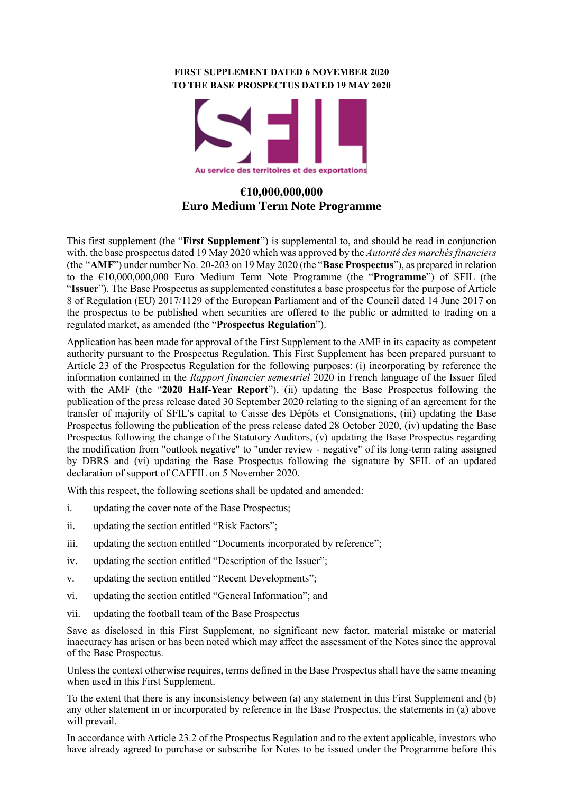#### **FIRST SUPPLEMENT DATED 6 NOVEMBER 2020 TO THE BASE PROSPECTUS DATED 19 MAY 2020**



# **€10,000,000,000 Euro Medium Term Note Programme**

This first supplement (the "**First Supplement**") is supplemental to, and should be read in conjunction with, the base prospectus dated 19 May 2020 which was approved by the *Autorité des marchés financiers*  (the "**AMF**") under number No. 20-203 on 19 May 2020 (the "**Base Prospectus**"), as prepared in relation to the €10,000,000,000 Euro Medium Term Note Programme (the "**Programme**") of SFIL (the "**Issuer**"). The Base Prospectus as supplemented constitutes a base prospectus for the purpose of Article 8 of Regulation (EU) 2017/1129 of the European Parliament and of the Council dated 14 June 2017 on the prospectus to be published when securities are offered to the public or admitted to trading on a regulated market, as amended (the "**Prospectus Regulation**").

Application has been made for approval of the First Supplement to the AMF in its capacity as competent authority pursuant to the Prospectus Regulation. This First Supplement has been prepared pursuant to Article 23 of the Prospectus Regulation for the following purposes: (i) incorporating by reference the information contained in the *Rapport financier semestriel* 2020 in French language of the Issuer filed with the AMF (the "**2020 Half-Year Report**"), (ii) updating the Base Prospectus following the publication of the press release dated 30 September 2020 relating to the signing of an agreement for the transfer of majority of SFIL's capital to Caisse des Dépôts et Consignations, (iii) updating the Base Prospectus following the publication of the press release dated 28 October 2020, (iv) updating the Base Prospectus following the change of the Statutory Auditors, (v) updating the Base Prospectus regarding the modification from "outlook negative" to "under review - negative" of its long-term rating assigned by DBRS and (vi) updating the Base Prospectus following the signature by SFIL of an updated declaration of support of CAFFIL on 5 November 2020.

With this respect, the following sections shall be updated and amended:

- i. updating the cover note of the Base Prospectus;
- ii. updating the section entitled "Risk Factors";
- iii. updating the section entitled "Documents incorporated by reference";
- iv. updating the section entitled "Description of the Issuer";
- v. updating the section entitled "Recent Developments";
- vi. updating the section entitled "General Information"; and
- vii. updating the football team of the Base Prospectus

Save as disclosed in this First Supplement, no significant new factor, material mistake or material inaccuracy has arisen or has been noted which may affect the assessment of the Notes since the approval of the Base Prospectus.

Unless the context otherwise requires, terms defined in the Base Prospectus shall have the same meaning when used in this First Supplement.

To the extent that there is any inconsistency between (a) any statement in this First Supplement and (b) any other statement in or incorporated by reference in the Base Prospectus, the statements in (a) above will prevail.

In accordance with Article 23.2 of the Prospectus Regulation and to the extent applicable, investors who have already agreed to purchase or subscribe for Notes to be issued under the Programme before this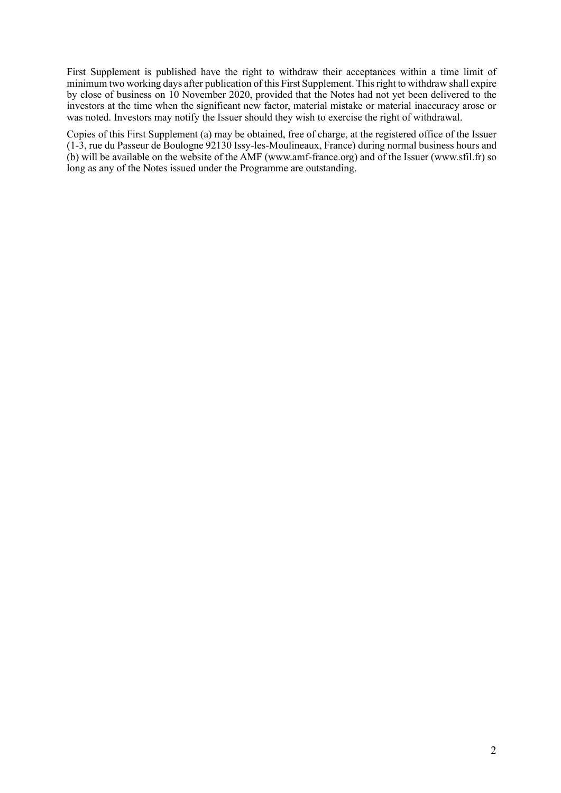First Supplement is published have the right to withdraw their acceptances within a time limit of minimum two working days after publication of this First Supplement. This right to withdraw shall expire by close of business on 10 November 2020, provided that the Notes had not yet been delivered to the investors at the time when the significant new factor, material mistake or material inaccuracy arose or was noted. Investors may notify the Issuer should they wish to exercise the right of withdrawal.

Copies of this First Supplement (a) may be obtained, free of charge, at the registered office of the Issuer (1-3, rue du Passeur de Boulogne 92130 Issy-les-Moulineaux, France) during normal business hours and (b) will be available on the website of the AMF (www.amf-france.org) and of the Issuer (www.sfil.fr) so long as any of the Notes issued under the Programme are outstanding.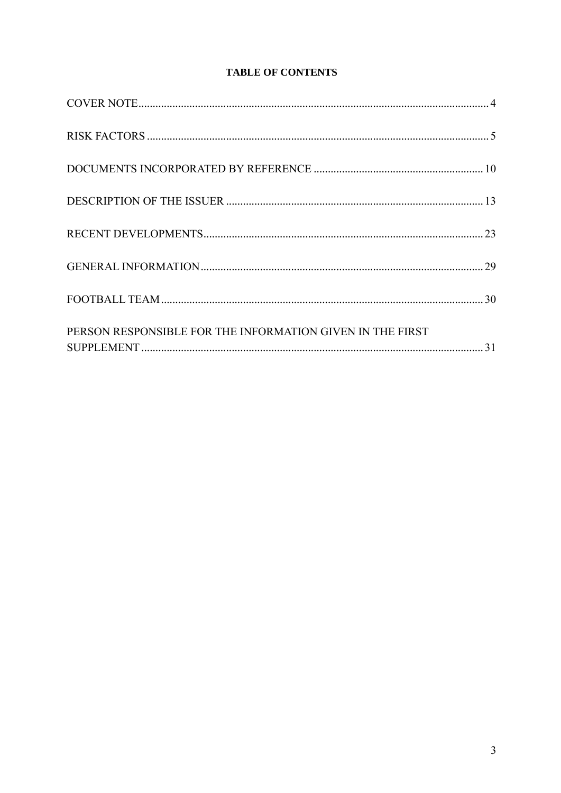# **TABLE OF CONTENTS**

| PERSON RESPONSIBLE FOR THE INFORMATION GIVEN IN THE FIRST |
|-----------------------------------------------------------|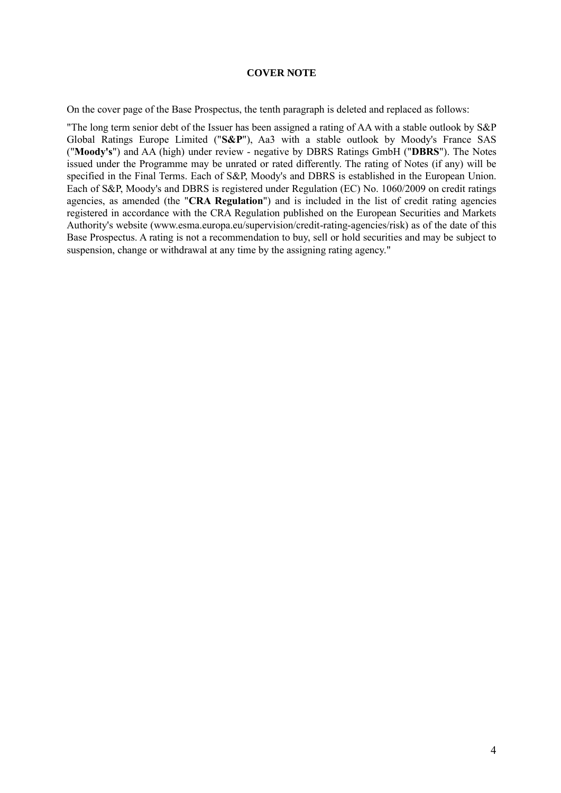## **COVER NOTE**

<span id="page-3-0"></span>On the cover page of the Base Prospectus, the tenth paragraph is deleted and replaced as follows:

"The long term senior debt of the Issuer has been assigned a rating of AA with a stable outlook by S&P Global Ratings Europe Limited ("**S&P**"), Aa3 with a stable outlook by Moody's France SAS ("**Moody's**") and AA (high) under review - negative by DBRS Ratings GmbH ("**DBRS**"). The Notes issued under the Programme may be unrated or rated differently. The rating of Notes (if any) will be specified in the Final Terms. Each of S&P, Moody's and DBRS is established in the European Union. Each of S&P, Moody's and DBRS is registered under Regulation (EC) No. 1060/2009 on credit ratings agencies, as amended (the "**CRA Regulation**") and is included in the list of credit rating agencies registered in accordance with the CRA Regulation published on the European Securities and Markets Authority's website (www.esma.europa.eu/supervision/credit-rating-agencies/risk) as of the date of this Base Prospectus. A rating is not a recommendation to buy, sell or hold securities and may be subject to suspension, change or withdrawal at any time by the assigning rating agency."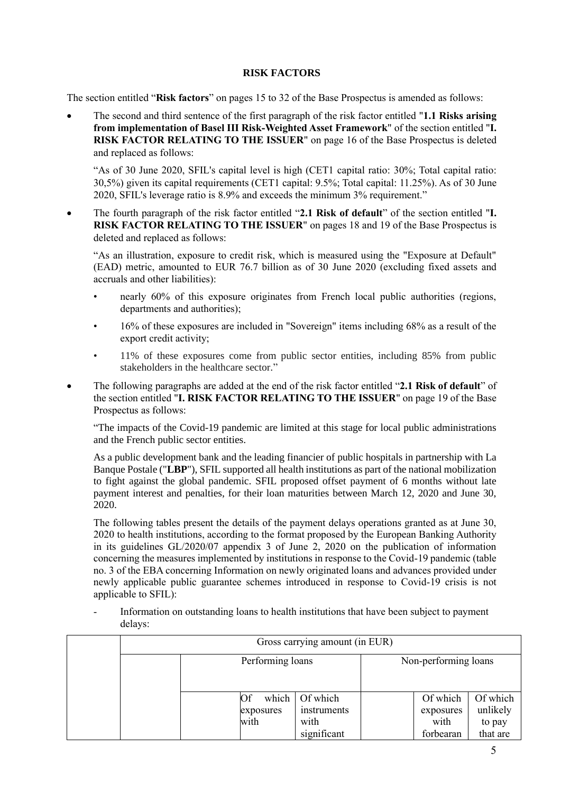# **RISK FACTORS**

<span id="page-4-0"></span>The section entitled "**Risk factors**" on pages 15 to 32 of the Base Prospectus is amended as follows:

• The second and third sentence of the first paragraph of the risk factor entitled "**1.1 Risks arising from implementation of Basel III Risk-Weighted Asset Framework**" of the section entitled "**I. RISK FACTOR RELATING TO THE ISSUER**" on page 16 of the Base Prospectus is deleted and replaced as follows:

"As of 30 June 2020, SFIL's capital level is high (CET1 capital ratio: 30%; Total capital ratio: 30,5%) given its capital requirements (CET1 capital: 9.5%; Total capital: 11.25%). As of 30 June 2020, SFIL's leverage ratio is 8.9% and exceeds the minimum 3% requirement."

• The fourth paragraph of the risk factor entitled "**2.1 Risk of default**" of the section entitled "**I. RISK FACTOR RELATING TO THE ISSUER**" on pages 18 and 19 of the Base Prospectus is deleted and replaced as follows:

"As an illustration, exposure to credit risk, which is measured using the "Exposure at Default" (EAD) metric, amounted to EUR 76.7 billion as of 30 June 2020 (excluding fixed assets and accruals and other liabilities):

- nearly 60% of this exposure originates from French local public authorities (regions, departments and authorities);
- 16% of these exposures are included in "Sovereign" items including 68% as a result of the export credit activity;
- 11% of these exposures come from public sector entities, including 85% from public stakeholders in the healthcare sector."
- The following paragraphs are added at the end of the risk factor entitled "**2.1 Risk of default**" of the section entitled "**I. RISK FACTOR RELATING TO THE ISSUER**" on page 19 of the Base Prospectus as follows:

"The impacts of the Covid-19 pandemic are limited at this stage for local public administrations and the French public sector entities.

As a public development bank and the leading financier of public hospitals in partnership with La Banque Postale ("**LBP**"), SFIL supported all health institutions as part of the national mobilization to fight against the global pandemic. SFIL proposed offset payment of 6 months without late payment interest and penalties, for their loan maturities between March 12, 2020 and June 30, 2020.

The following tables present the details of the payment delays operations granted as at June 30, 2020 to health institutions, according to the format proposed by the European Banking Authority in its guidelines GL/2020/07 appendix 3 of June 2, 2020 on the publication of information concerning the measures implemented by institutions in response to the Covid-19 pandemic (table no. 3 of the EBA concerning Information on newly originated loans and advances provided under newly applicable public guarantee schemes introduced in response to Covid-19 crisis is not applicable to SFIL):

- Information on outstanding loans to health institutions that have been subject to payment delays:

| Gross carrying amount (in EUR) |                         |                                                              |                      |                                            |                                            |  |  |
|--------------------------------|-------------------------|--------------------------------------------------------------|----------------------|--------------------------------------------|--------------------------------------------|--|--|
|                                | Performing loans        |                                                              | Non-performing loans |                                            |                                            |  |  |
|                                | Of<br>exposures<br>with | which $\vert$ Of which<br>instruments<br>with<br>significant |                      | Of which<br>exposures<br>with<br>forbearan | Of which<br>unlikely<br>to pay<br>that are |  |  |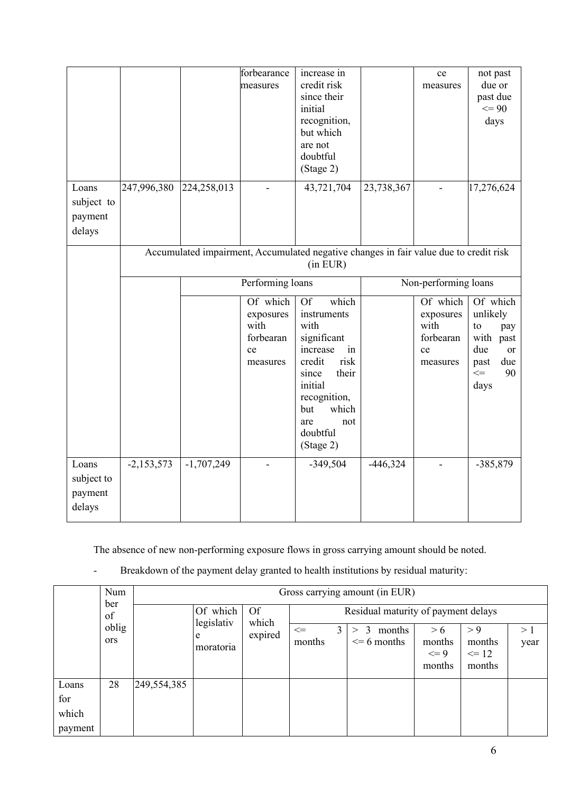|                                          |              |              | forbearance<br>measures                                      | increase in<br>credit risk<br>since their<br>initial<br>recognition,<br>but which<br>are not<br>doubtful<br>(Stage 2)                                                                            |            | ce<br>measures                                               | not past<br>due or<br>past due<br>$\leq$ 90<br>days                                                       |
|------------------------------------------|--------------|--------------|--------------------------------------------------------------|--------------------------------------------------------------------------------------------------------------------------------------------------------------------------------------------------|------------|--------------------------------------------------------------|-----------------------------------------------------------------------------------------------------------|
| Loans<br>subject to<br>payment<br>delays | 247,996,380  | 224,258,013  |                                                              | 43,721,704                                                                                                                                                                                       | 23,738,367 |                                                              | 17,276,624                                                                                                |
|                                          |              |              |                                                              | Accumulated impairment, Accumulated negative changes in fair value due to credit risk<br>$(in$ EUR $)$                                                                                           |            |                                                              |                                                                                                           |
|                                          |              |              | Performing loans                                             |                                                                                                                                                                                                  |            | Non-performing loans                                         |                                                                                                           |
|                                          |              |              | Of which<br>exposures<br>with<br>forbearan<br>ce<br>measures | <b>Of</b><br>which<br>instruments<br>with<br>significant<br>increase<br>in<br>risk<br>credit<br>their<br>since<br>initial<br>recognition,<br>which<br>but<br>not<br>are<br>doubtful<br>(Stage 2) |            | Of which<br>exposures<br>with<br>forbearan<br>ce<br>measures | Of which<br>unlikely<br>to<br>pay<br>with past<br>due<br><b>or</b><br>due<br>past<br>$\leq$<br>90<br>days |
| Loans<br>subject to<br>payment<br>delays | $-2,153,573$ | $-1,707,249$ |                                                              | $-349,504$                                                                                                                                                                                       | $-446,324$ |                                                              | $-385,879$                                                                                                |

The absence of new non-performing exposure flows in gross carrying amount should be noted.

|                                  | Num<br>ber<br>of | Gross carrying amount (in EUR) |                                                  |                  |          |                                         |                                     |                                      |                                     |  |  |
|----------------------------------|------------------|--------------------------------|--------------------------------------------------|------------------|----------|-----------------------------------------|-------------------------------------|--------------------------------------|-------------------------------------|--|--|
|                                  |                  |                                |                                                  |                  | Of which | <b>Of</b>                               |                                     |                                      | Residual maturity of payment delays |  |  |
| ors                              | oblig            |                                | legislativ<br>which<br>expired<br>e<br>moratoria | $\leq$<br>months | 3        | 3<br>months<br>$\gt$<br>$\leq$ 6 months | > 6<br>months<br>$\leq$ 9<br>months | > 9<br>months<br>$\leq 12$<br>months | >1<br>year                          |  |  |
| Loans<br>for<br>which<br>payment | 28               | 249,554,385                    |                                                  |                  |          |                                         |                                     |                                      |                                     |  |  |

- Breakdown of the payment delay granted to health institutions by residual maturity: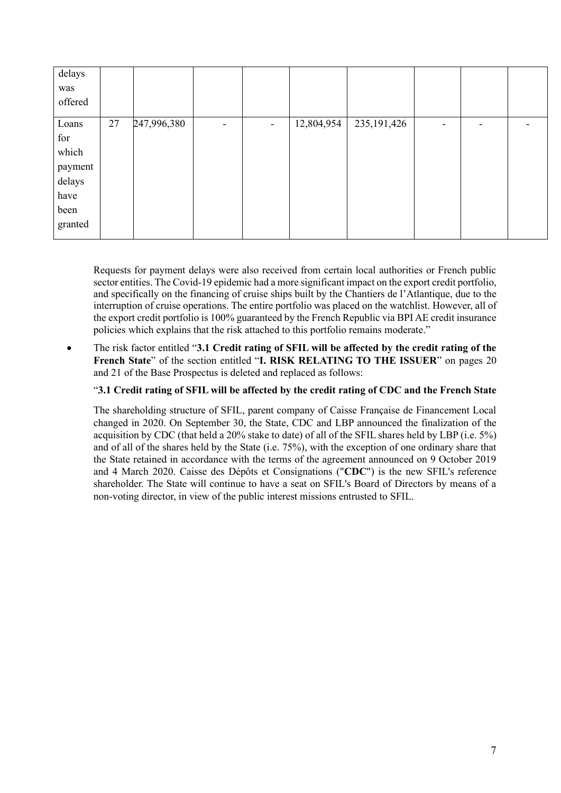| delays<br>was<br>offered |    |             |   |                |            |               |                          |   |  |
|--------------------------|----|-------------|---|----------------|------------|---------------|--------------------------|---|--|
| Loans                    | 27 | 247,996,380 | ٠ | $\blacksquare$ | 12,804,954 | 235, 191, 426 | $\overline{\phantom{0}}$ | - |  |
| for                      |    |             |   |                |            |               |                          |   |  |
| which                    |    |             |   |                |            |               |                          |   |  |
| payment                  |    |             |   |                |            |               |                          |   |  |
| delays                   |    |             |   |                |            |               |                          |   |  |
| have                     |    |             |   |                |            |               |                          |   |  |
| been                     |    |             |   |                |            |               |                          |   |  |
| granted                  |    |             |   |                |            |               |                          |   |  |

Requests for payment delays were also received from certain local authorities or French public sector entities. The Covid-19 epidemic had a more significant impact on the export credit portfolio, and specifically on the financing of cruise ships built by the Chantiers de l'Atlantique, due to the interruption of cruise operations. The entire portfolio was placed on the watchlist. However, all of the export credit portfolio is 100% guaranteed by the French Republic via BPI AE credit insurance policies which explains that the risk attached to this portfolio remains moderate."

• The risk factor entitled "**3.1 Credit rating of SFIL will be affected by the credit rating of the French State**" of the section entitled "**I. RISK RELATING TO THE ISSUER**" on pages 20 and 21 of the Base Prospectus is deleted and replaced as follows:

# "**3.1 Credit rating of SFIL will be affected by the credit rating of CDC and the French State**

The shareholding structure of SFIL, parent company of Caisse Française de Financement Local changed in 2020. On September 30, the State, CDC and LBP announced the finalization of the acquisition by CDC (that held a 20% stake to date) of all of the SFIL shares held by LBP (i.e. 5%) and of all of the shares held by the State (i.e. 75%), with the exception of one ordinary share that the State retained in accordance with the terms of the agreement announced on 9 October 2019 and 4 March 2020. Caisse des Dépôts et Consignations ("**CDC**") is the new SFIL's reference shareholder. The State will continue to have a seat on SFIL's Board of Directors by means of a non-voting director, in view of the public interest missions entrusted to SFIL.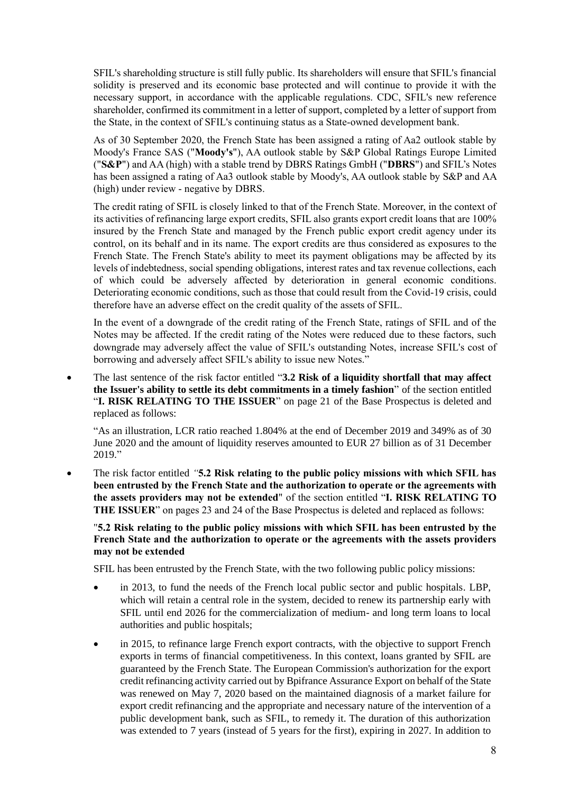SFIL's shareholding structure is still fully public. Its shareholders will ensure that SFIL's financial solidity is preserved and its economic base protected and will continue to provide it with the necessary support, in accordance with the applicable regulations. CDC, SFIL's new reference shareholder, confirmed its commitment in a letter of support, completed by a letter of support from the State, in the context of SFIL's continuing status as a State-owned development bank.

As of 30 September 2020, the French State has been assigned a rating of Aa2 outlook stable by Moody's France SAS ("**Moody's**"), AA outlook stable by S&P Global Ratings Europe Limited ("**S&P**") and AA (high) with a stable trend by DBRS Ratings GmbH ("**DBRS**") and SFIL's Notes has been assigned a rating of Aa3 outlook stable by Moody's, AA outlook stable by S&P and AA (high) under review - negative by DBRS.

The credit rating of SFIL is closely linked to that of the French State. Moreover, in the context of its activities of refinancing large export credits, SFIL also grants export credit loans that are 100% insured by the French State and managed by the French public export credit agency under its control, on its behalf and in its name. The export credits are thus considered as exposures to the French State. The French State's ability to meet its payment obligations may be affected by its levels of indebtedness, social spending obligations, interest rates and tax revenue collections, each of which could be adversely affected by deterioration in general economic conditions. Deteriorating economic conditions, such as those that could result from the Covid-19 crisis, could therefore have an adverse effect on the credit quality of the assets of SFIL.

In the event of a downgrade of the credit rating of the French State, ratings of SFIL and of the Notes may be affected. If the credit rating of the Notes were reduced due to these factors, such downgrade may adversely affect the value of SFIL's outstanding Notes, increase SFIL's cost of borrowing and adversely affect SFIL's ability to issue new Notes."

• The last sentence of the risk factor entitled "**3.2 Risk of a liquidity shortfall that may affect the Issuer's ability to settle its debt commitments in a timely fashion**" of the section entitled "**I. RISK RELATING TO THE ISSUER**" on page 21 of the Base Prospectus is deleted and replaced as follows:

"As an illustration, LCR ratio reached 1.804% at the end of December 2019 and 349% as of 30 June 2020 and the amount of liquidity reserves amounted to EUR 27 billion as of 31 December 2019."

• The risk factor entitled *"***5.2 Risk relating to the public policy missions with which SFIL has been entrusted by the French State and the authorization to operate or the agreements with the assets providers may not be extended**" of the section entitled "**I. RISK RELATING TO THE ISSUER**" on pages 23 and 24 of the Base Prospectus is deleted and replaced as follows:

# "**5.2 Risk relating to the public policy missions with which SFIL has been entrusted by the French State and the authorization to operate or the agreements with the assets providers may not be extended**

SFIL has been entrusted by the French State, with the two following public policy missions:

- in 2013, to fund the needs of the French local public sector and public hospitals. LBP, which will retain a central role in the system, decided to renew its partnership early with SFIL until end 2026 for the commercialization of medium- and long term loans to local authorities and public hospitals;
- in 2015, to refinance large French export contracts, with the objective to support French exports in terms of financial competitiveness. In this context, loans granted by SFIL are guaranteed by the French State. The European Commission's authorization for the export credit refinancing activity carried out by Bpifrance Assurance Export on behalf of the State was renewed on May 7, 2020 based on the maintained diagnosis of a market failure for export credit refinancing and the appropriate and necessary nature of the intervention of a public development bank, such as SFIL, to remedy it. The duration of this authorization was extended to 7 years (instead of 5 years for the first), expiring in 2027. In addition to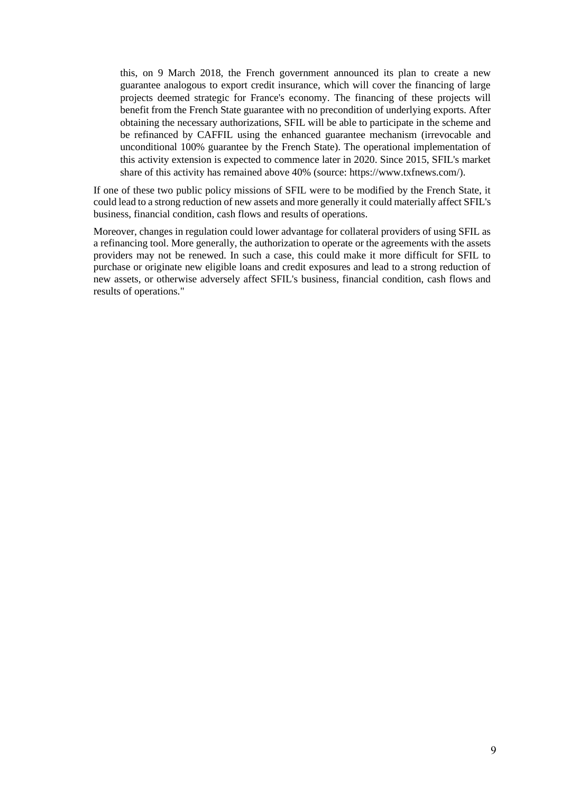this, on 9 March 2018, the French government announced its plan to create a new guarantee analogous to export credit insurance, which will cover the financing of large projects deemed strategic for France's economy. The financing of these projects will benefit from the French State guarantee with no precondition of underlying exports. After obtaining the necessary authorizations, SFIL will be able to participate in the scheme and be refinanced by CAFFIL using the enhanced guarantee mechanism (irrevocable and unconditional 100% guarantee by the French State). The operational implementation of this activity extension is expected to commence later in 2020. Since 2015, SFIL's market share of this activity has remained above 40% (source: [https://www.txfnews.com/\)](https://www.txfnews.com/).

If one of these two public policy missions of SFIL were to be modified by the French State, it could lead to a strong reduction of new assets and more generally it could materially affect SFIL's business, financial condition, cash flows and results of operations.

Moreover, changes in regulation could lower advantage for collateral providers of using SFIL as a refinancing tool. More generally, the authorization to operate or the agreements with the assets providers may not be renewed. In such a case, this could make it more difficult for SFIL to purchase or originate new eligible loans and credit exposures and lead to a strong reduction of new assets, or otherwise adversely affect SFIL's business, financial condition, cash flows and results of operations."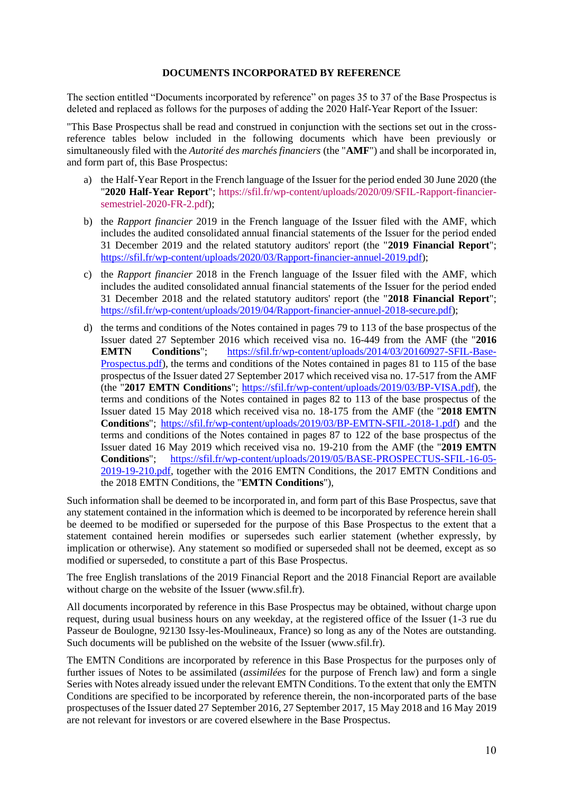#### **DOCUMENTS INCORPORATED BY REFERENCE**

<span id="page-9-0"></span>The section entitled "Documents incorporated by reference" on pages 35 to 37 of the Base Prospectus is deleted and replaced as follows for the purposes of adding the 2020 Half-Year Report of the Issuer:

"This Base Prospectus shall be read and construed in conjunction with the sections set out in the crossreference tables below included in the following documents which have been previously or simultaneously filed with the *Autorité des marchés financiers* (the "**AMF**") and shall be incorporated in, and form part of, this Base Prospectus:

- a) the Half-Year Report in the French language of the Issuer for the period ended 30 June 2020 (the "**2020 Half-Year Report**"; [https://sfil.fr/wp-content/uploads/2020/09/SFIL-Rapport-financier](https://sfil.fr/wp-content/uploads/2020/09/SFIL-Rapport-financier-semestriel-2020-FR-2.pdf)[semestriel-2020-FR-2.pdf\)](https://sfil.fr/wp-content/uploads/2020/09/SFIL-Rapport-financier-semestriel-2020-FR-2.pdf);
- b) the *Rapport financier* 2019 in the French language of the Issuer filed with the AMF, which includes the audited consolidated annual financial statements of the Issuer for the period ended 31 December 2019 and the related statutory auditors' report (the "**2019 Financial Report**"; [https://sfil.fr/wp-content/uploads/2020/03/Rapport-financier-annuel-2019.pdf\)](https://sfil.fr/wp-content/uploads/2020/03/Rapport-financier-annuel-2019.pdf);
- c) the *Rapport financier* 2018 in the French language of the Issuer filed with the AMF, which includes the audited consolidated annual financial statements of the Issuer for the period ended 31 December 2018 and the related statutory auditors' report (the "**2018 Financial Report**"; [https://sfil.fr/wp-content/uploads/2019/04/Rapport-financier-annuel-2018-secure.pdf\)](https://sfil.fr/wp-content/uploads/2019/04/Rapport-financier-annuel-2018-secure.pdf);
- d) the terms and conditions of the Notes contained in pages 79 to 113 of the base prospectus of the Issuer dated 27 September 2016 which received visa no. 16-449 from the AMF (the "**2016 EMTN Conditions**"; [https://sfil.fr/wp-content/uploads/2014/03/20160927-SFIL-Base-](https://sfil.fr/wp-content/uploads/2014/03/20160927-SFIL-Base-Prospectus.pdf)[Prospectus.pdf\)](https://sfil.fr/wp-content/uploads/2014/03/20160927-SFIL-Base-Prospectus.pdf), the terms and conditions of the Notes contained in pages 81 to 115 of the base prospectus of the Issuer dated 27 September 2017 which received visa no. 17-517 from the AMF (the "**2017 EMTN Conditions**"; [https://sfil.fr/wp-content/uploads/2019/03/BP-VISA.pdf\)](https://sfil.fr/wp-content/uploads/2019/03/BP-VISA.pdf), the terms and conditions of the Notes contained in pages 82 to 113 of the base prospectus of the Issuer dated 15 May 2018 which received visa no. 18-175 from the AMF (the "**2018 EMTN Conditions**"; [https://sfil.fr/wp-content/uploads/2019/03/BP-EMTN-SFIL-2018-1.pdf\)](https://sfil.fr/wp-content/uploads/2019/03/BP-EMTN-SFIL-2018-1.pdf) and the terms and conditions of the Notes contained in pages 87 to 122 of the base prospectus of the Issuer dated 16 May 2019 which received visa no. 19-210 from the AMF (the "**2019 EMTN Conditions**"; [https://sfil.fr/wp-content/uploads/2019/05/BASE-PROSPECTUS-SFIL-16-05-](https://sfil.fr/wp-content/uploads/2019/05/BASE-PROSPECTUS-SFIL-16-05-2019-19-210.pdf) [2019-19-210.pdf,](https://sfil.fr/wp-content/uploads/2019/05/BASE-PROSPECTUS-SFIL-16-05-2019-19-210.pdf) together with the 2016 EMTN Conditions, the 2017 EMTN Conditions and the 2018 EMTN Conditions, the "**EMTN Conditions**"),

Such information shall be deemed to be incorporated in, and form part of this Base Prospectus, save that any statement contained in the information which is deemed to be incorporated by reference herein shall be deemed to be modified or superseded for the purpose of this Base Prospectus to the extent that a statement contained herein modifies or supersedes such earlier statement (whether expressly, by implication or otherwise). Any statement so modified or superseded shall not be deemed, except as so modified or superseded, to constitute a part of this Base Prospectus.

The free English translations of the 2019 Financial Report and the 2018 Financial Report are available without charge on the website of the Issuer (www.sfil.fr).

All documents incorporated by reference in this Base Prospectus may be obtained, without charge upon request, during usual business hours on any weekday, at the registered office of the Issuer (1-3 rue du Passeur de Boulogne, 92130 Issy-les-Moulineaux, France) so long as any of the Notes are outstanding. Such documents will be published on the website of the Issuer (www.sfil.fr).

The EMTN Conditions are incorporated by reference in this Base Prospectus for the purposes only of further issues of Notes to be assimilated (*assimilées* for the purpose of French law) and form a single Series with Notes already issued under the relevant EMTN Conditions. To the extent that only the EMTN Conditions are specified to be incorporated by reference therein, the non-incorporated parts of the base prospectuses of the Issuer dated 27 September 2016, 27 September 2017, 15 May 2018 and 16 May 2019 are not relevant for investors or are covered elsewhere in the Base Prospectus.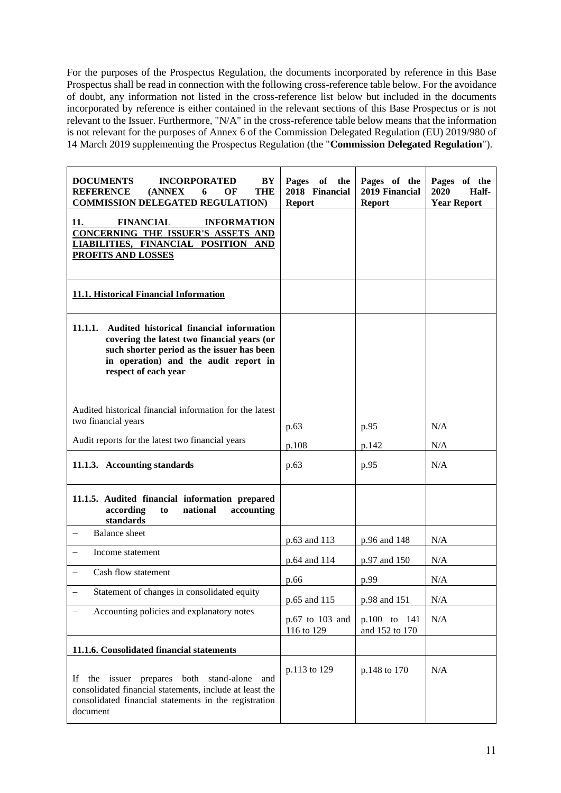For the purposes of the Prospectus Regulation, the documents incorporated by reference in this Base Prospectus shall be read in connection with the following cross-reference table below. For the avoidance of doubt, any information not listed in the cross-reference list below but included in the documents incorporated by reference is either contained in the relevant sections of this Base Prospectus or is not relevant to the Issuer. Furthermore, "N/A" in the cross-reference table below means that the information is not relevant for the purposes of Annex 6 of the Commission Delegated Regulation (EU) 2019/980 of 14 March 2019 supplementing the Prospectus Regulation (the "**Commission Delegated Regulation**").

| <b>DOCUMENTS</b><br><b>INCORPORATED</b><br>BY<br><b>THE</b><br><b>REFERENCE</b><br>(ANNEX)<br>6<br>OF<br><b>COMMISSION DELEGATED REGULATION)</b>                                                                  | Pages of the<br>2018 Financial<br><b>Report</b> | Pages of the<br>2019 Financial<br><b>Report</b> | Pages of the<br>2020<br>Half-<br><b>Year Report</b> |
|-------------------------------------------------------------------------------------------------------------------------------------------------------------------------------------------------------------------|-------------------------------------------------|-------------------------------------------------|-----------------------------------------------------|
| <b>FINANCIAL</b><br><b>INFORMATION</b><br>11.<br>CONCERNING THE ISSUER'S ASSETS AND<br>LIABILITIES, FINANCIAL POSITION AND<br><b>PROFITS AND LOSSES</b>                                                           |                                                 |                                                 |                                                     |
| 11.1. Historical Financial Information                                                                                                                                                                            |                                                 |                                                 |                                                     |
| Audited historical financial information<br>11.1.1.<br>covering the latest two financial years (or<br>such shorter period as the issuer has been<br>in operation) and the audit report in<br>respect of each year |                                                 |                                                 |                                                     |
| Audited historical financial information for the latest<br>two financial years<br>Audit reports for the latest two financial years                                                                                | p.63<br>p.108                                   | p.95<br>p.142                                   | N/A<br>N/A                                          |
| 11.1.3. Accounting standards                                                                                                                                                                                      | p.63                                            | p.95                                            | N/A                                                 |
| 11.1.5. Audited financial information prepared<br>according<br>national<br>accounting<br>to<br>standards                                                                                                          |                                                 |                                                 |                                                     |
| <b>Balance</b> sheet                                                                                                                                                                                              | p.63 and 113                                    | p.96 and 148                                    | N/A                                                 |
| Income statement                                                                                                                                                                                                  | p.64 and 114                                    | p.97 and 150                                    | N/A                                                 |
| Cash flow statement<br>$\qquad \qquad -$                                                                                                                                                                          | p.66                                            | p.99                                            | N/A                                                 |
| Statement of changes in consolidated equity                                                                                                                                                                       | p.65 and 115                                    | p.98 and 151                                    | N/A                                                 |
| Accounting policies and explanatory notes                                                                                                                                                                         | p.67 to 103 and<br>116 to 129                   | p.100 to 141<br>and 152 to 170                  | N/A                                                 |
| 11.1.6. Consolidated financial statements                                                                                                                                                                         |                                                 |                                                 |                                                     |
| If the issuer prepares both<br>stand-alone<br>and<br>consolidated financial statements, include at least the<br>consolidated financial statements in the registration<br>document                                 | p.113 to 129                                    | p.148 to 170                                    | N/A                                                 |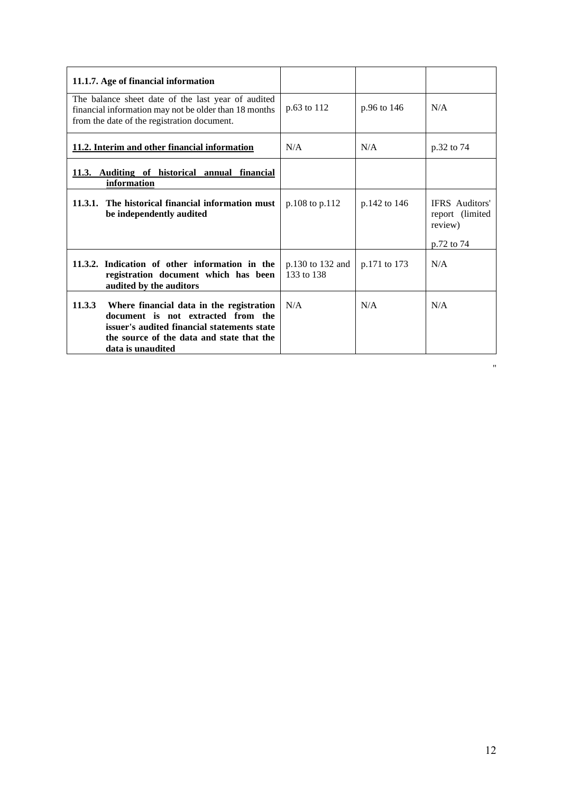| 11.1.7. Age of financial information                                                                                                                                                                      |                                |              |                                                                   |
|-----------------------------------------------------------------------------------------------------------------------------------------------------------------------------------------------------------|--------------------------------|--------------|-------------------------------------------------------------------|
| The balance sheet date of the last year of audited<br>financial information may not be older than 18 months<br>from the date of the registration document.                                                | p.63 to 112                    | p.96 to 146  | N/A                                                               |
| 11.2. Interim and other financial information                                                                                                                                                             | N/A                            | N/A          | p.32 to 74                                                        |
| 11.3. Auditing of historical annual financial<br>information                                                                                                                                              |                                |              |                                                                   |
| 11.3.1. The historical financial information must<br>be independently audited                                                                                                                             | p.108 to p.112                 | p.142 to 146 | <b>IFRS</b> Auditors'<br>report (limited<br>review)<br>p.72 to 74 |
| 11.3.2. Indication of other information in the<br>registration document which has been<br>audited by the auditors                                                                                         | p.130 to 132 and<br>133 to 138 | p.171 to 173 | N/A                                                               |
| 11.3.3<br>Where financial data in the registration<br>document is not extracted from the<br>issuer's audited financial statements state<br>the source of the data and state that the<br>data is unaudited | N/A                            | N/A          | N/A                                                               |

"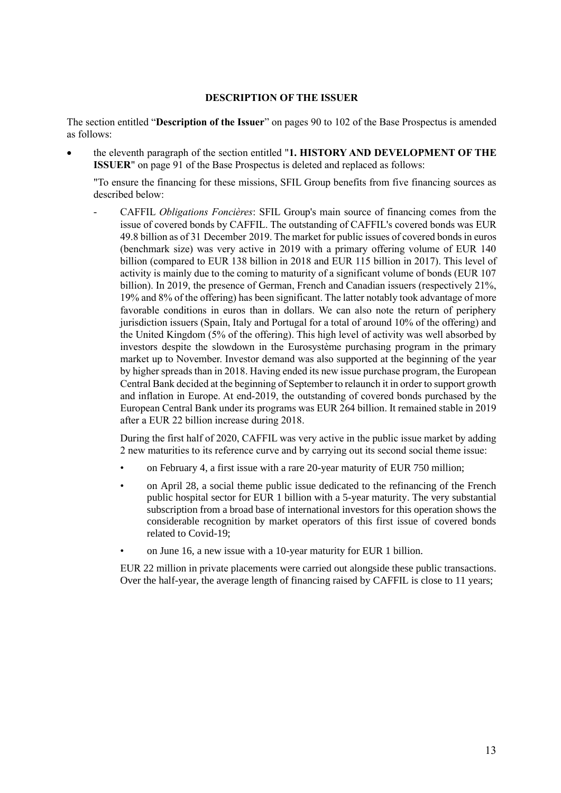#### **DESCRIPTION OF THE ISSUER**

<span id="page-12-0"></span>The section entitled "**Description of the Issuer**" on pages 90 to 102 of the Base Prospectus is amended as follows:

• the eleventh paragraph of the section entitled "**1. HISTORY AND DEVELOPMENT OF THE ISSUER**" on page 91 of the Base Prospectus is deleted and replaced as follows:

"To ensure the financing for these missions, SFIL Group benefits from five financing sources as described below:

- CAFFIL *Obligations Foncières*: SFIL Group's main source of financing comes from the issue of covered bonds by CAFFIL. The outstanding of CAFFIL's covered bonds was EUR 49.8 billion as of 31 December 2019. The market for public issues of covered bonds in euros (benchmark size) was very active in 2019 with a primary offering volume of EUR 140 billion (compared to EUR 138 billion in 2018 and EUR 115 billion in 2017). This level of activity is mainly due to the coming to maturity of a significant volume of bonds (EUR 107 billion). In 2019, the presence of German, French and Canadian issuers (respectively 21%, 19% and 8% of the offering) has been significant. The latter notably took advantage of more favorable conditions in euros than in dollars. We can also note the return of periphery jurisdiction issuers (Spain, Italy and Portugal for a total of around 10% of the offering) and the United Kingdom (5% of the offering). This high level of activity was well absorbed by investors despite the slowdown in the Eurosystème purchasing program in the primary market up to November. Investor demand was also supported at the beginning of the year by higher spreads than in 2018. Having ended its new issue purchase program, the European Central Bank decided at the beginning of September to relaunch it in order to support growth and inflation in Europe. At end-2019, the outstanding of covered bonds purchased by the European Central Bank under its programs was EUR 264 billion. It remained stable in 2019 after a EUR 22 billion increase during 2018.

During the first half of 2020, CAFFIL was very active in the public issue market by adding 2 new maturities to its reference curve and by carrying out its second social theme issue:

- on February 4, a first issue with a rare 20-year maturity of EUR 750 million;
- on April 28, a social theme public issue dedicated to the refinancing of the French public hospital sector for EUR 1 billion with a 5-year maturity. The very substantial subscription from a broad base of international investors for this operation shows the considerable recognition by market operators of this first issue of covered bonds related to Covid-19;
- on June 16, a new issue with a 10-year maturity for EUR 1 billion.

EUR 22 million in private placements were carried out alongside these public transactions. Over the half-year, the average length of financing raised by CAFFIL is close to 11 years;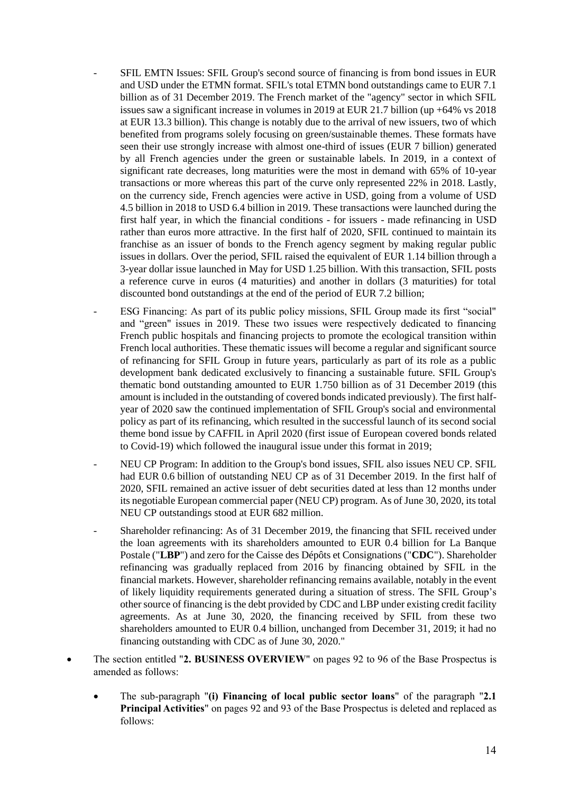- SFIL EMTN Issues: SFIL Group's second source of financing is from bond issues in EUR and USD under the ETMN format. SFIL's total ETMN bond outstandings came to EUR 7.1 billion as of 31 December 2019. The French market of the "agency" sector in which SFIL issues saw a significant increase in volumes in 2019 at EUR 21.7 billion (up +64% vs 2018 at EUR 13.3 billion). This change is notably due to the arrival of new issuers, two of which benefited from programs solely focusing on green/sustainable themes. These formats have seen their use strongly increase with almost one-third of issues (EUR 7 billion) generated by all French agencies under the green or sustainable labels. In 2019, in a context of significant rate decreases, long maturities were the most in demand with 65% of 10-year transactions or more whereas this part of the curve only represented 22% in 2018. Lastly, on the currency side, French agencies were active in USD, going from a volume of USD 4.5 billion in 2018 to USD 6.4 billion in 2019. These transactions were launched during the first half year, in which the financial conditions - for issuers - made refinancing in USD rather than euros more attractive. In the first half of 2020, SFIL continued to maintain its franchise as an issuer of bonds to the French agency segment by making regular public issues in dollars. Over the period, SFIL raised the equivalent of EUR 1.14 billion through a 3-year dollar issue launched in May for USD 1.25 billion. With this transaction, SFIL posts a reference curve in euros (4 maturities) and another in dollars (3 maturities) for total discounted bond outstandings at the end of the period of EUR 7.2 billion;
- ESG Financing: As part of its public policy missions, SFIL Group made its first "social" and "green" issues in 2019. These two issues were respectively dedicated to financing French public hospitals and financing projects to promote the ecological transition within French local authorities. These thematic issues will become a regular and significant source of refinancing for SFIL Group in future years, particularly as part of its role as a public development bank dedicated exclusively to financing a sustainable future. SFIL Group's thematic bond outstanding amounted to EUR 1.750 billion as of 31 December 2019 (this amount is included in the outstanding of covered bonds indicated previously). The first halfyear of 2020 saw the continued implementation of SFIL Group's social and environmental policy as part of its refinancing, which resulted in the successful launch of its second social theme bond issue by CAFFIL in April 2020 (first issue of European covered bonds related to Covid-19) which followed the inaugural issue under this format in 2019;
- NEU CP Program: In addition to the Group's bond issues, SFIL also issues NEU CP. SFIL had EUR 0.6 billion of outstanding NEU CP as of 31 December 2019. In the first half of 2020, SFIL remained an active issuer of debt securities dated at less than 12 months under its negotiable European commercial paper (NEU CP) program. As of June 30, 2020, its total NEU CP outstandings stood at EUR 682 million.
- Shareholder refinancing: As of 31 December 2019, the financing that SFIL received under the loan agreements with its shareholders amounted to EUR 0.4 billion for La Banque Postale ("**LBP**") and zero for the Caisse des Dépôts et Consignations ("**CDC**"). Shareholder refinancing was gradually replaced from 2016 by financing obtained by SFIL in the financial markets. However, shareholder refinancing remains available, notably in the event of likely liquidity requirements generated during a situation of stress. The SFIL Group's other source of financing is the debt provided by CDC and LBP under existing credit facility agreements. As at June 30, 2020, the financing received by SFIL from these two shareholders amounted to EUR 0.4 billion, unchanged from December 31, 2019; it had no financing outstanding with CDC as of June 30, 2020."
- The section entitled "**2. BUSINESS OVERVIEW**" on pages 92 to 96 of the Base Prospectus is amended as follows:
	- The sub-paragraph "**(i) Financing of local public sector loans**" of the paragraph "**2.1 Principal Activities**" on pages 92 and 93 of the Base Prospectus is deleted and replaced as follows: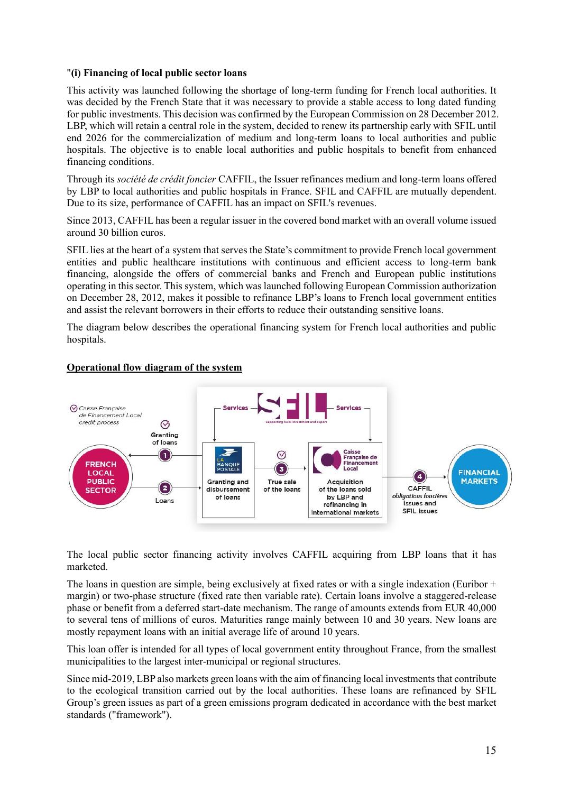# "**(i) Financing of local public sector loans**

This activity was launched following the shortage of long-term funding for French local authorities. It was decided by the French State that it was necessary to provide a stable access to long dated funding for public investments. This decision was confirmed by the European Commission on 28 December 2012. LBP, which will retain a central role in the system, decided to renew its partnership early with SFIL until end 2026 for the commercialization of medium and long-term loans to local authorities and public hospitals. The objective is to enable local authorities and public hospitals to benefit from enhanced financing conditions.

Through its *société de crédit foncier* CAFFIL, the Issuer refinances medium and long-term loans offered by LBP to local authorities and public hospitals in France. SFIL and CAFFIL are mutually dependent. Due to its size, performance of CAFFIL has an impact on SFIL's revenues.

Since 2013, CAFFIL has been a regular issuer in the covered bond market with an overall volume issued around 30 billion euros.

SFIL lies at the heart of a system that serves the State's commitment to provide French local government entities and public healthcare institutions with continuous and efficient access to long-term bank financing, alongside the offers of commercial banks and French and European public institutions operating in this sector. This system, which was launched following European Commission authorization on December 28, 2012, makes it possible to refinance LBP's loans to French local government entities and assist the relevant borrowers in their efforts to reduce their outstanding sensitive loans.

The diagram below describes the operational financing system for French local authorities and public hospitals.



# **Operational flow diagram of the system**

The local public sector financing activity involves CAFFIL acquiring from LBP loans that it has marketed.

The loans in question are simple, being exclusively at fixed rates or with a single indexation (Euribor  $+$ margin) or two-phase structure (fixed rate then variable rate). Certain loans involve a staggered-release phase or benefit from a deferred start-date mechanism. The range of amounts extends from EUR 40,000 to several tens of millions of euros. Maturities range mainly between 10 and 30 years. New loans are mostly repayment loans with an initial average life of around 10 years.

This loan offer is intended for all types of local government entity throughout France, from the smallest municipalities to the largest inter-municipal or regional structures.

Since mid-2019, LBP also markets green loans with the aim of financing local investments that contribute to the ecological transition carried out by the local authorities. These loans are refinanced by SFIL Group's green issues as part of a green emissions program dedicated in accordance with the best market standards ("framework").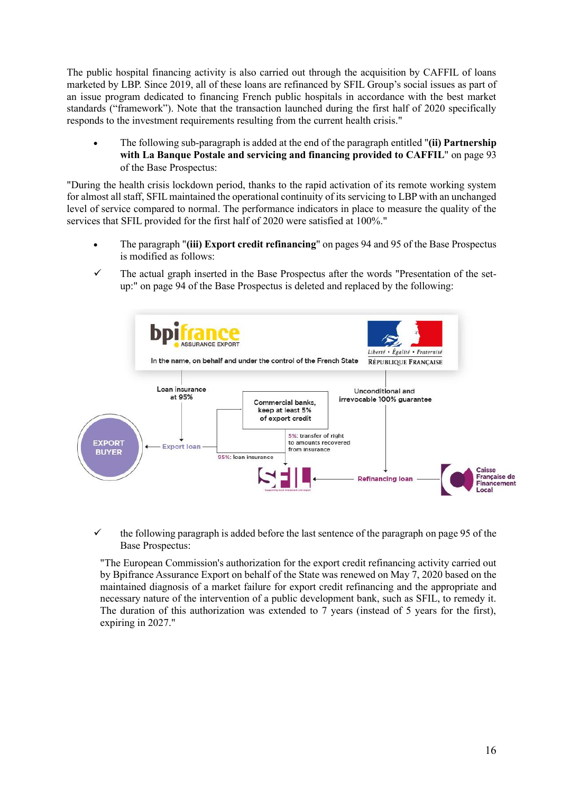The public hospital financing activity is also carried out through the acquisition by CAFFIL of loans marketed by LBP. Since 2019, all of these loans are refinanced by SFIL Group's social issues as part of an issue program dedicated to financing French public hospitals in accordance with the best market standards ("framework"). Note that the transaction launched during the first half of 2020 specifically responds to the investment requirements resulting from the current health crisis."

• The following sub-paragraph is added at the end of the paragraph entitled "**(ii) Partnership with La Banque Postale and servicing and financing provided to CAFFIL**" on page 93 of the Base Prospectus:

"During the health crisis lockdown period, thanks to the rapid activation of its remote working system for almost all staff, SFIL maintained the operational continuity of its servicing to LBP with an unchanged level of service compared to normal. The performance indicators in place to measure the quality of the services that SFIL provided for the first half of 2020 were satisfied at 100%."

- The paragraph "**(iii) Export credit refinancing**" on pages 94 and 95 of the Base Prospectus is modified as follows:
- $\checkmark$  The actual graph inserted in the Base Prospectus after the words "Presentation of the setup:" on page 94 of the Base Prospectus is deleted and replaced by the following:



 $\checkmark$  the following paragraph is added before the last sentence of the paragraph on page 95 of the Base Prospectus:

"The European Commission's authorization for the export credit refinancing activity carried out by Bpifrance Assurance Export on behalf of the State was renewed on May 7, 2020 based on the maintained diagnosis of a market failure for export credit refinancing and the appropriate and necessary nature of the intervention of a public development bank, such as SFIL, to remedy it. The duration of this authorization was extended to 7 years (instead of 5 years for the first), expiring in 2027."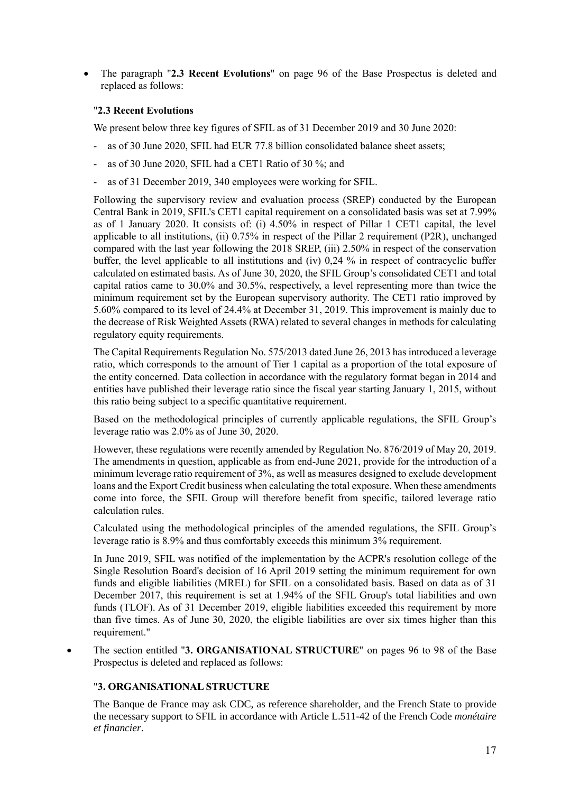• The paragraph "**2.3 Recent Evolutions**" on page 96 of the Base Prospectus is deleted and replaced as follows:

# "**2.3 Recent Evolutions**

We present below three key figures of SFIL as of 31 December 2019 and 30 June 2020:

- as of 30 June 2020, SFIL had EUR 77.8 billion consolidated balance sheet assets;
- as of 30 June 2020, SFIL had a CET1 Ratio of 30 %; and
- as of 31 December 2019, 340 employees were working for SFIL.

Following the supervisory review and evaluation process (SREP) conducted by the European Central Bank in 2019, SFIL's CET1 capital requirement on a consolidated basis was set at 7.99% as of 1 January 2020. It consists of: (i) 4.50% in respect of Pillar 1 CET1 capital, the level applicable to all institutions, (ii) 0.75% in respect of the Pillar 2 requirement (P2R), unchanged compared with the last year following the 2018 SREP, (iii) 2.50% in respect of the conservation buffer, the level applicable to all institutions and (iv) 0,24 % in respect of contracyclic buffer calculated on estimated basis. As of June 30, 2020, the SFIL Group's consolidated CET1 and total capital ratios came to 30.0% and 30.5%, respectively, a level representing more than twice the minimum requirement set by the European supervisory authority. The CET1 ratio improved by 5.60% compared to its level of 24.4% at December 31, 2019. This improvement is mainly due to the decrease of Risk Weighted Assets (RWA) related to several changes in methods for calculating regulatory equity requirements.

The Capital Requirements Regulation No. 575/2013 dated June 26, 2013 has introduced a leverage ratio, which corresponds to the amount of Tier 1 capital as a proportion of the total exposure of the entity concerned. Data collection in accordance with the regulatory format began in 2014 and entities have published their leverage ratio since the fiscal year starting January 1, 2015, without this ratio being subject to a specific quantitative requirement.

Based on the methodological principles of currently applicable regulations, the SFIL Group's leverage ratio was 2.0% as of June 30, 2020.

However, these regulations were recently amended by Regulation No. 876/2019 of May 20, 2019. The amendments in question, applicable as from end-June 2021, provide for the introduction of a minimum leverage ratio requirement of 3%, as well as measures designed to exclude development loans and the Export Credit business when calculating the total exposure. When these amendments come into force, the SFIL Group will therefore benefit from specific, tailored leverage ratio calculation rules.

Calculated using the methodological principles of the amended regulations, the SFIL Group's leverage ratio is 8.9% and thus comfortably exceeds this minimum 3% requirement.

In June 2019, SFIL was notified of the implementation by the ACPR's resolution college of the Single Resolution Board's decision of 16 April 2019 setting the minimum requirement for own funds and eligible liabilities (MREL) for SFIL on a consolidated basis. Based on data as of 31 December 2017, this requirement is set at 1.94% of the SFIL Group's total liabilities and own funds (TLOF). As of 31 December 2019, eligible liabilities exceeded this requirement by more than five times. As of June 30, 2020, the eligible liabilities are over six times higher than this requirement."

• The section entitled "**3. ORGANISATIONAL STRUCTURE**" on pages 96 to 98 of the Base Prospectus is deleted and replaced as follows:

# "**3. ORGANISATIONAL STRUCTURE**

The Banque de France may ask CDC, as reference shareholder, and the French State to provide the necessary support to SFIL in accordance with Article L.511-42 of the French Code *monétaire et financier*.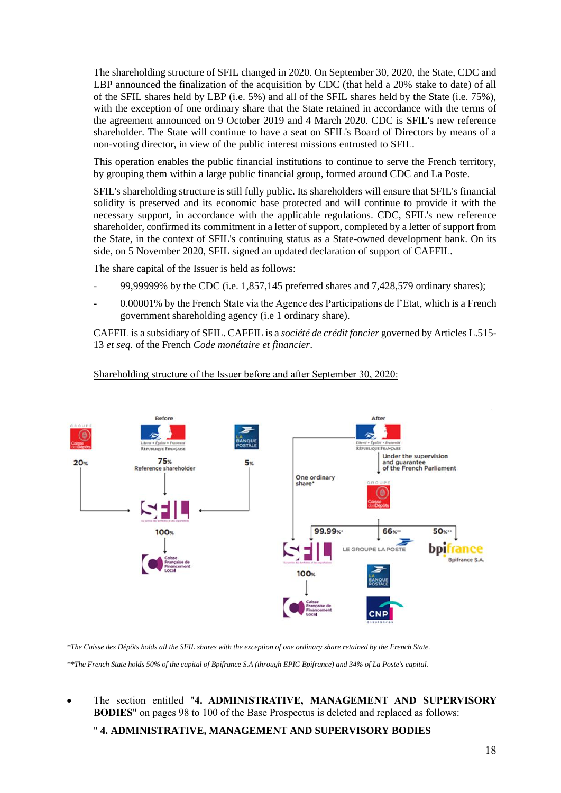The shareholding structure of SFIL changed in 2020. On September 30, 2020, the State, CDC and LBP announced the finalization of the acquisition by CDC (that held a 20% stake to date) of all of the SFIL shares held by LBP (i.e. 5%) and all of the SFIL shares held by the State (i.e. 75%), with the exception of one ordinary share that the State retained in accordance with the terms of the agreement announced on 9 October 2019 and 4 March 2020. CDC is SFIL's new reference shareholder. The State will continue to have a seat on SFIL's Board of Directors by means of a non-voting director, in view of the public interest missions entrusted to SFIL.

This operation enables the public financial institutions to continue to serve the French territory, by grouping them within a large public financial group, formed around CDC and La Poste.

SFIL's shareholding structure is still fully public. Its shareholders will ensure that SFIL's financial solidity is preserved and its economic base protected and will continue to provide it with the necessary support, in accordance with the applicable regulations. CDC, SFIL's new reference shareholder, confirmed its commitment in a letter of support, completed by a letter of support from the State, in the context of SFIL's continuing status as a State-owned development bank. On its side, on 5 November 2020, SFIL signed an updated declaration of support of CAFFIL.

The share capital of the Issuer is held as follows:

- 99,99999% by the CDC (i.e. 1,857,145 preferred shares and 7,428,579 ordinary shares);
- 0.00001% by the French State via the Agence des Participations de l'Etat, which is a French government shareholding agency (i.e 1 ordinary share).

CAFFIL is a subsidiary of SFIL. CAFFIL is a *société de crédit foncier* governed by Articles L.515- 13 *et seq.* of the French *Code monétaire et financier*.



#### Shareholding structure of the Issuer before and after September 30, 2020:

*\*The Caisse des Dépôts holds all the SFIL shares with the exception of one ordinary share retained by the French State.*

*\*\*The French State holds 50% of the capital of Bpifrance S.A (through EPIC Bpifrance) and 34% of La Poste's capital.*

• The section entitled "**4. ADMINISTRATIVE, MANAGEMENT AND SUPERVISORY BODIES**" on pages 98 to 100 of the Base Prospectus is deleted and replaced as follows:

" **4. ADMINISTRATIVE, MANAGEMENT AND SUPERVISORY BODIES**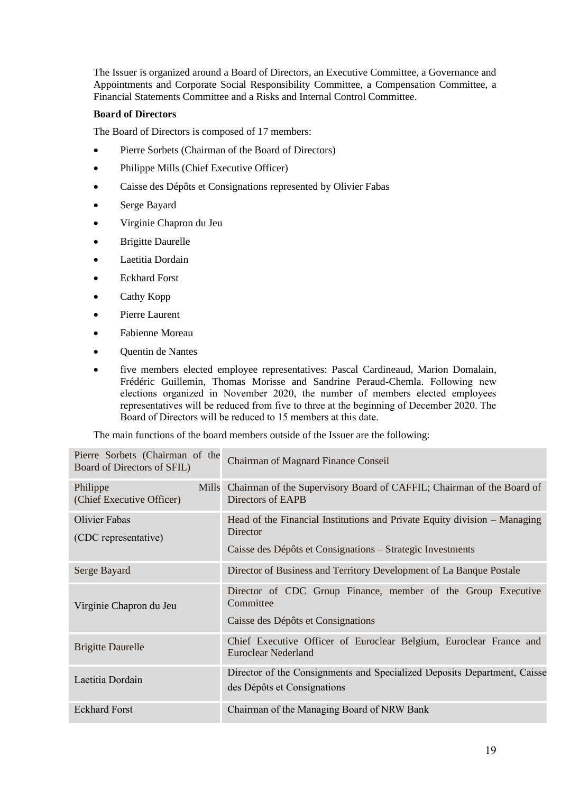The Issuer is organized around a Board of Directors, an Executive Committee, a Governance and Appointments and Corporate Social Responsibility Committee, a Compensation Committee, a Financial Statements Committee and a Risks and Internal Control Committee.

# **Board of Directors**

The Board of Directors is composed of 17 members:

- Pierre Sorbets (Chairman of the Board of Directors)
- Philippe Mills (Chief Executive Officer)
- Caisse des Dépôts et Consignations represented by Olivier Fabas
- Serge Bayard
- Virginie Chapron du Jeu
- **Brigitte Daurelle**
- Laetitia Dordain
- Eckhard Forst
- Cathy Kopp
- Pierre Laurent
- Fabienne Moreau
- Quentin de Nantes
- five members elected employee representatives: Pascal Cardineaud, Marion Domalain, Frédéric Guillemin, Thomas Morisse and Sandrine Peraud-Chemla. Following new elections organized in November 2020, the number of members elected employees representatives will be reduced from five to three at the beginning of December 2020. The Board of Directors will be reduced to 15 members at this date.

The main functions of the board members outside of the Issuer are the following:

| Pierre Sorbets (Chairman of the<br>Board of Directors of SFIL) | <b>Chairman of Magnard Finance Conseil</b>                                                                                                          |
|----------------------------------------------------------------|-----------------------------------------------------------------------------------------------------------------------------------------------------|
| Philippe<br>Mills<br>(Chief Executive Officer)                 | Chairman of the Supervisory Board of CAFFIL; Chairman of the Board of<br>Directors of EAPB                                                          |
| Olivier Fabas<br>(CDC representative)                          | Head of the Financial Institutions and Private Equity division – Managing<br>Director<br>Caisse des Dépôts et Consignations – Strategic Investments |
| Serge Bayard                                                   | Director of Business and Territory Development of La Banque Postale                                                                                 |
| Virginie Chapron du Jeu                                        | Director of CDC Group Finance, member of the Group Executive<br>Committee<br>Caisse des Dépôts et Consignations                                     |
| <b>Brigitte Daurelle</b>                                       | Chief Executive Officer of Euroclear Belgium, Euroclear France and<br>Euroclear Nederland                                                           |
| Laetitia Dordain                                               | Director of the Consignments and Specialized Deposits Department, Caisse<br>des Dépôts et Consignations                                             |
| <b>Eckhard Forst</b>                                           | Chairman of the Managing Board of NRW Bank                                                                                                          |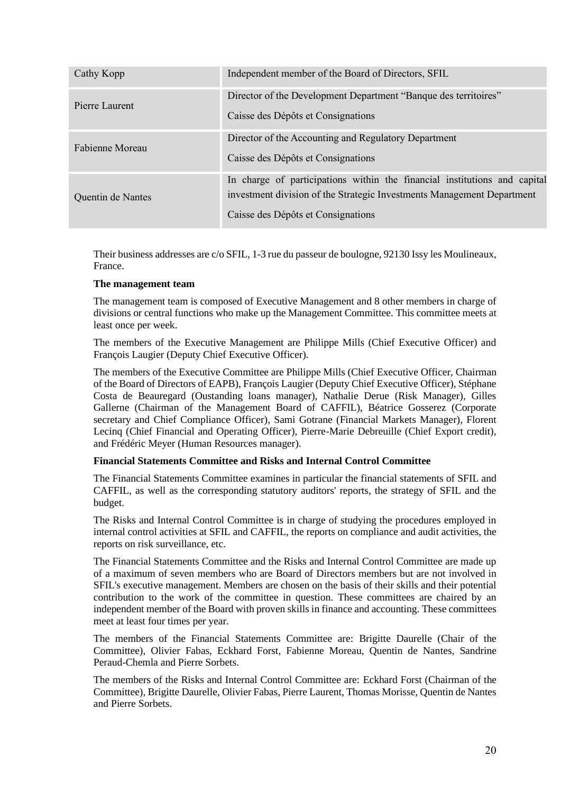| Cathy Kopp        | Independent member of the Board of Directors, SFIL                                                                                                                                        |
|-------------------|-------------------------------------------------------------------------------------------------------------------------------------------------------------------------------------------|
| Pierre Laurent    | Director of the Development Department "Banque des territoires"<br>Caisse des Dépôts et Consignations                                                                                     |
| Fabienne Moreau   | Director of the Accounting and Regulatory Department<br>Caisse des Dépôts et Consignations                                                                                                |
| Quentin de Nantes | In charge of participations within the financial institutions and capital<br>investment division of the Strategic Investments Management Department<br>Caisse des Dépôts et Consignations |

Their business addresses are c/o SFIL, 1-3 rue du passeur de boulogne, 92130 Issy les Moulineaux, France.

# **The management team**

The management team is composed of Executive Management and 8 other members in charge of divisions or central functions who make up the Management Committee. This committee meets at least once per week.

The members of the Executive Management are Philippe Mills (Chief Executive Officer) and François Laugier (Deputy Chief Executive Officer).

The members of the Executive Committee are Philippe Mills (Chief Executive Officer, Chairman of the Board of Directors of EAPB), François Laugier (Deputy Chief Executive Officer), Stéphane Costa de Beauregard (Oustanding loans manager), Nathalie Derue (Risk Manager), Gilles Gallerne (Chairman of the Management Board of CAFFIL), Béatrice Gosserez (Corporate secretary and Chief Compliance Officer), Sami Gotrane (Financial Markets Manager), Florent Lecinq (Chief Financial and Operating Officer), Pierre-Marie Debreuille (Chief Export credit), and Frédéric Meyer (Human Resources manager).

# **Financial Statements Committee and Risks and Internal Control Committee**

The Financial Statements Committee examines in particular the financial statements of SFIL and CAFFIL, as well as the corresponding statutory auditors' reports, the strategy of SFIL and the budget.

The Risks and Internal Control Committee is in charge of studying the procedures employed in internal control activities at SFIL and CAFFIL, the reports on compliance and audit activities, the reports on risk surveillance, etc.

The Financial Statements Committee and the Risks and Internal Control Committee are made up of a maximum of seven members who are Board of Directors members but are not involved in SFIL's executive management. Members are chosen on the basis of their skills and their potential contribution to the work of the committee in question. These committees are chaired by an independent member of the Board with proven skills in finance and accounting. These committees meet at least four times per year.

The members of the Financial Statements Committee are: Brigitte Daurelle (Chair of the Committee), Olivier Fabas, Eckhard Forst, Fabienne Moreau, Quentin de Nantes, Sandrine Peraud-Chemla and Pierre Sorbets.

The members of the Risks and Internal Control Committee are: Eckhard Forst (Chairman of the Committee), Brigitte Daurelle, Olivier Fabas, Pierre Laurent, Thomas Morisse, Quentin de Nantes and Pierre Sorbets.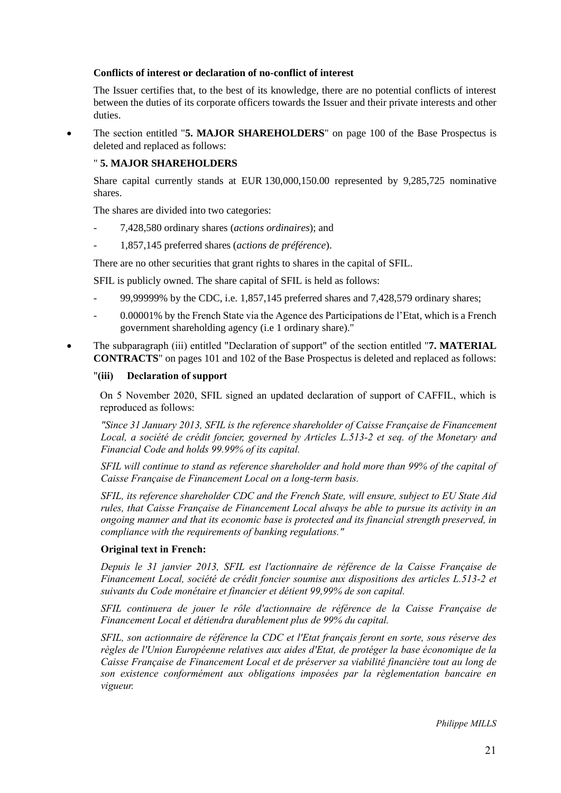# **Conflicts of interest or declaration of no-conflict of interest**

The Issuer certifies that, to the best of its knowledge, there are no potential conflicts of interest between the duties of its corporate officers towards the Issuer and their private interests and other duties.

• The section entitled "**5. MAJOR SHAREHOLDERS**" on page 100 of the Base Prospectus is deleted and replaced as follows:

# " **5. MAJOR SHAREHOLDERS**

Share capital currently stands at EUR 130,000,150.00 represented by 9,285,725 nominative shares.

The shares are divided into two categories:

- 7,428,580 ordinary shares (*actions ordinaires*); and
- 1,857,145 preferred shares (*actions de préférence*).

There are no other securities that grant rights to shares in the capital of SFIL.

SFIL is publicly owned. The share capital of SFIL is held as follows:

- 99,99999% by the CDC, i.e. 1,857,145 preferred shares and 7,428,579 ordinary shares;
- 0.00001% by the French State via the Agence des Participations de l'Etat, which is a French government shareholding agency (i.e 1 ordinary share)."
- The subparagraph (iii) entitled "Declaration of support" of the section entitled "**7. MATERIAL CONTRACTS**" on pages 101 and 102 of the Base Prospectus is deleted and replaced as follows:

#### "**(iii) Declaration of support**

On 5 November 2020, SFIL signed an updated declaration of support of CAFFIL, which is reproduced as follows:

*"Since 31 January 2013, SFIL is the reference shareholder of Caisse Française de Financement Local, a société de crédit foncier, governed by Articles L.513-2 et seq. of the Monetary and Financial Code and holds 99.99% of its capital.*

*SFIL will continue to stand as reference shareholder and hold more than 99% of the capital of Caisse Française de Financement Local on a long-term basis.*

*SFIL, its reference shareholder CDC and the French State, will ensure, subject to EU State Aid rules, that Caisse Française de Financement Local always be able to pursue its activity in an ongoing manner and that its economic base is protected and its financial strength preserved, in compliance with the requirements of banking regulations."*

#### **Original text in French:**

*Depuis le 31 janvier 2013, SFIL est l'actionnaire de référence de la Caisse Française de Financement Local, société de crédit foncier soumise aux dispositions des articles L.513-2 et suivants du Code monétaire et financier et détient 99,99% de son capital.*

*SFIL continuera de jouer le rôle d'actionnaire de référence de la Caisse Française de Financement Local et détiendra durablement plus de 99% du capital.*

*SFIL, son actionnaire de référence la CDC et l'Etat français feront en sorte, sous réserve des règles de l'Union Européenne relatives aux aides d'Etat, de protéger la base économique de la Caisse Française de Financement Local et de préserver sa viabilité financière tout au long de son existence conformément aux obligations imposées par la règlementation bancaire en vigueur.*

*Philippe MILLS*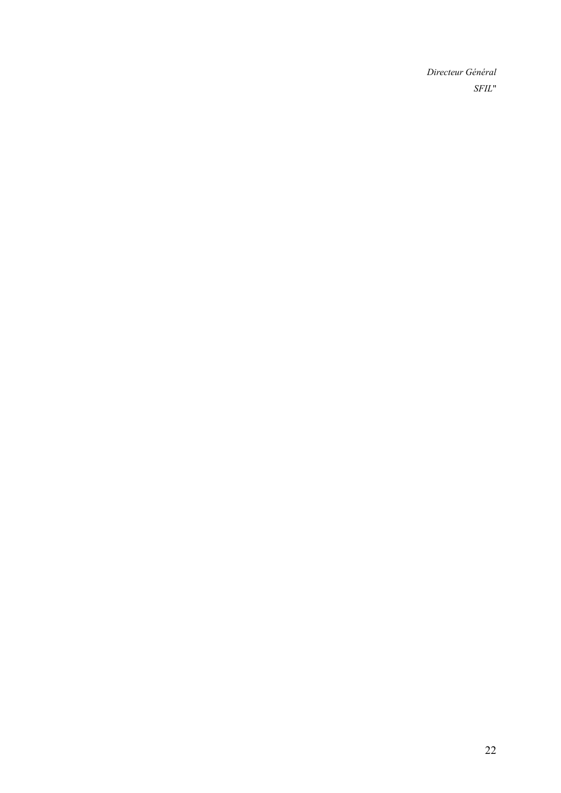*Directeur Général SFIL*"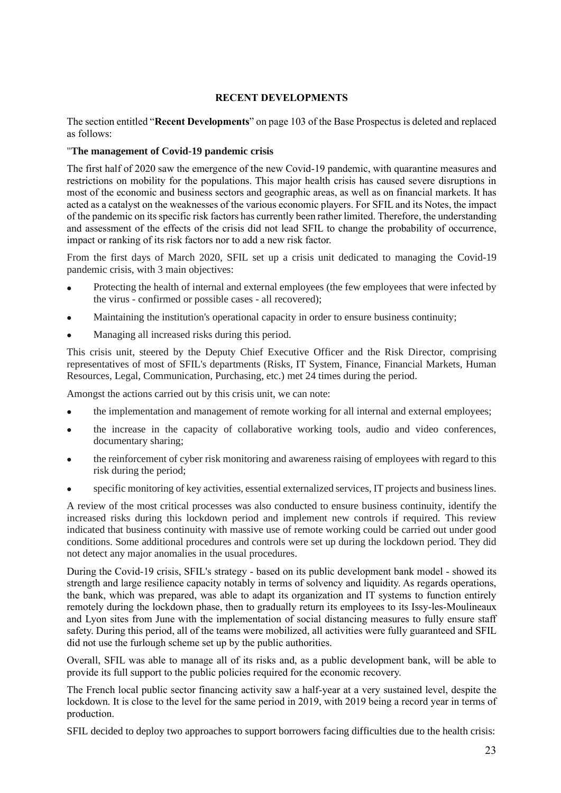# **RECENT DEVELOPMENTS**

<span id="page-22-0"></span>The section entitled "**Recent Developments**" on page 103 of the Base Prospectus is deleted and replaced as follows:

#### "**The management of Covid-19 pandemic crisis**

The first half of 2020 saw the emergence of the new Covid-19 pandemic, with quarantine measures and restrictions on mobility for the populations. This major health crisis has caused severe disruptions in most of the economic and business sectors and geographic areas, as well as on financial markets. It has acted as a catalyst on the weaknesses of the various economic players. For SFIL and its Notes, the impact of the pandemic on its specific risk factors has currently been rather limited. Therefore, the understanding and assessment of the effects of the crisis did not lead SFIL to change the probability of occurrence, impact or ranking of its risk factors nor to add a new risk factor.

From the first days of March 2020, SFIL set up a crisis unit dedicated to managing the Covid-19 pandemic crisis, with 3 main objectives:

- Protecting the health of internal and external employees (the few employees that were infected by the virus - confirmed or possible cases - all recovered);
- Maintaining the institution's operational capacity in order to ensure business continuity;
- Managing all increased risks during this period.

This crisis unit, steered by the Deputy Chief Executive Officer and the Risk Director, comprising representatives of most of SFIL's departments (Risks, IT System, Finance, Financial Markets, Human Resources, Legal, Communication, Purchasing, etc.) met 24 times during the period.

Amongst the actions carried out by this crisis unit, we can note:

- the implementation and management of remote working for all internal and external employees;
- the increase in the capacity of collaborative working tools, audio and video conferences, documentary sharing;
- the reinforcement of cyber risk monitoring and awareness raising of employees with regard to this risk during the period;
- specific monitoring of key activities, essential externalized services, IT projects and business lines.

A review of the most critical processes was also conducted to ensure business continuity, identify the increased risks during this lockdown period and implement new controls if required. This review indicated that business continuity with massive use of remote working could be carried out under good conditions. Some additional procedures and controls were set up during the lockdown period. They did not detect any major anomalies in the usual procedures.

During the Covid-19 crisis, SFIL's strategy - based on its public development bank model - showed its strength and large resilience capacity notably in terms of solvency and liquidity. As regards operations, the bank, which was prepared, was able to adapt its organization and IT systems to function entirely remotely during the lockdown phase, then to gradually return its employees to its Issy-les-Moulineaux and Lyon sites from June with the implementation of social distancing measures to fully ensure staff safety. During this period, all of the teams were mobilized, all activities were fully guaranteed and SFIL did not use the furlough scheme set up by the public authorities.

Overall, SFIL was able to manage all of its risks and, as a public development bank, will be able to provide its full support to the public policies required for the economic recovery.

The French local public sector financing activity saw a half-year at a very sustained level, despite the lockdown. It is close to the level for the same period in 2019, with 2019 being a record year in terms of production.

SFIL decided to deploy two approaches to support borrowers facing difficulties due to the health crisis: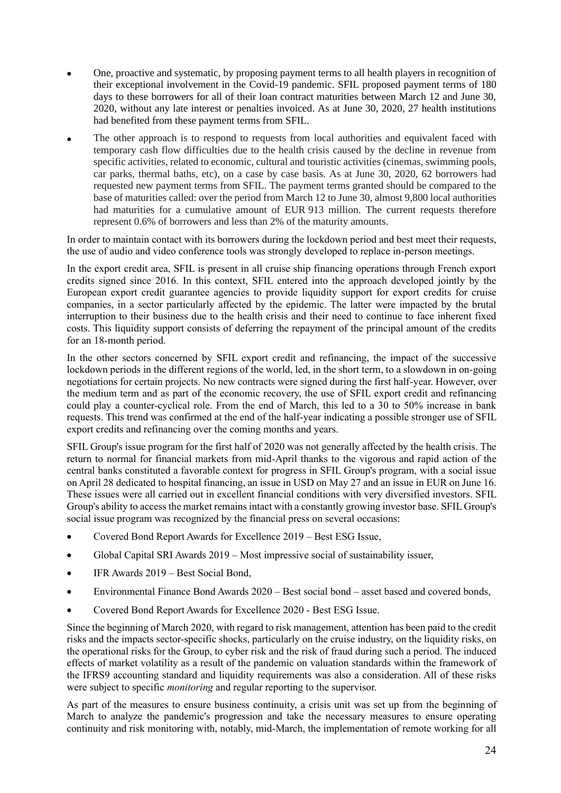- One, proactive and systematic, by proposing payment terms to all health players in recognition of their exceptional involvement in the Covid-19 pandemic. SFIL proposed payment terms of 180 days to these borrowers for all of their loan contract maturities between March 12 and June 30, 2020, without any late interest or penalties invoiced. As at June 30, 2020, 27 health institutions had benefited from these payment terms from SFIL.
- The other approach is to respond to requests from local authorities and equivalent faced with temporary cash flow difficulties due to the health crisis caused by the decline in revenue from specific activities, related to economic, cultural and touristic activities (cinemas, swimming pools, car parks, thermal baths, etc), on a case by case basis. As at June 30, 2020, 62 borrowers had requested new payment terms from SFIL. The payment terms granted should be compared to the base of maturities called: over the period from March 12 to June 30, almost 9,800 local authorities had maturities for a cumulative amount of EUR 913 million. The current requests therefore represent 0.6% of borrowers and less than 2% of the maturity amounts.

In order to maintain contact with its borrowers during the lockdown period and best meet their requests, the use of audio and video conference tools was strongly developed to replace in-person meetings.

In the export credit area, SFIL is present in all cruise ship financing operations through French export credits signed since 2016. In this context, SFIL entered into the approach developed jointly by the European export credit guarantee agencies to provide liquidity support for export credits for cruise companies, in a sector particularly affected by the epidemic. The latter were impacted by the brutal interruption to their business due to the health crisis and their need to continue to face inherent fixed costs. This liquidity support consists of deferring the repayment of the principal amount of the credits for an 18-month period.

In the other sectors concerned by SFIL export credit and refinancing, the impact of the successive lockdown periods in the different regions of the world, led, in the short term, to a slowdown in on-going negotiations for certain projects. No new contracts were signed during the first half-year. However, over the medium term and as part of the economic recovery, the use of SFIL export credit and refinancing could play a counter-cyclical role. From the end of March, this led to a 30 to 50% increase in bank requests. This trend was confirmed at the end of the half-year indicating a possible stronger use of SFIL export credits and refinancing over the coming months and years.

SFIL Group's issue program for the first half of 2020 was not generally affected by the health crisis. The return to normal for financial markets from mid-April thanks to the vigorous and rapid action of the central banks constituted a favorable context for progress in SFIL Group's program, with a social issue on April 28 dedicated to hospital financing, an issue in USD on May 27 and an issue in EUR on June 16. These issues were all carried out in excellent financial conditions with very diversified investors. SFIL Group's ability to access the market remains intact with a constantly growing investor base. SFIL Group's social issue program was recognized by the financial press on several occasions:

- Covered Bond Report Awards for Excellence 2019 Best ESG Issue,
- Global Capital SRI Awards 2019 Most impressive social of sustainability issuer,
- IFR Awards 2019 Best Social Bond,
- Environmental Finance Bond Awards 2020 Best social bond asset based and covered bonds,
- Covered Bond Report Awards for Excellence 2020 Best ESG Issue.

Since the beginning of March 2020, with regard to risk management, attention has been paid to the credit risks and the impacts sector-specific shocks, particularly on the cruise industry, on the liquidity risks, on the operational risks for the Group, to cyber risk and the risk of fraud during such a period. The induced effects of market volatility as a result of the pandemic on valuation standards within the framework of the IFRS9 accounting standard and liquidity requirements was also a consideration. All of these risks were subject to specific *monitoring* and regular reporting to the supervisor.

As part of the measures to ensure business continuity, a crisis unit was set up from the beginning of March to analyze the pandemic's progression and take the necessary measures to ensure operating continuity and risk monitoring with, notably, mid-March, the implementation of remote working for all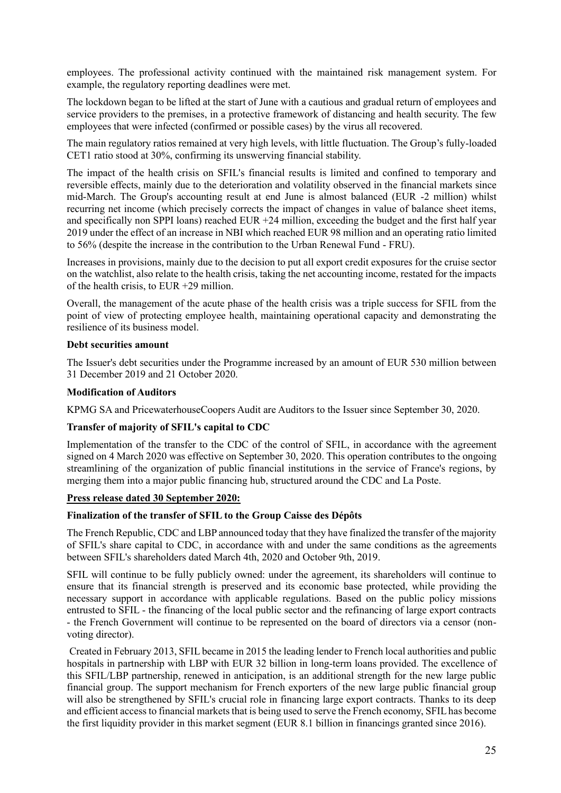employees. The professional activity continued with the maintained risk management system. For example, the regulatory reporting deadlines were met.

The lockdown began to be lifted at the start of June with a cautious and gradual return of employees and service providers to the premises, in a protective framework of distancing and health security. The few employees that were infected (confirmed or possible cases) by the virus all recovered.

The main regulatory ratios remained at very high levels, with little fluctuation. The Group's fully-loaded CET1 ratio stood at 30%, confirming its unswerving financial stability.

The impact of the health crisis on SFIL's financial results is limited and confined to temporary and reversible effects, mainly due to the deterioration and volatility observed in the financial markets since mid-March. The Group's accounting result at end June is almost balanced (EUR -2 million) whilst recurring net income (which precisely corrects the impact of changes in value of balance sheet items, and specifically non SPPI loans) reached EUR  $+24$  million, exceeding the budget and the first half year 2019 under the effect of an increase in NBI which reached EUR 98 million and an operating ratio limited to 56% (despite the increase in the contribution to the Urban Renewal Fund - FRU).

Increases in provisions, mainly due to the decision to put all export credit exposures for the cruise sector on the watchlist, also relate to the health crisis, taking the net accounting income, restated for the impacts of the health crisis, to EUR +29 million.

Overall, the management of the acute phase of the health crisis was a triple success for SFIL from the point of view of protecting employee health, maintaining operational capacity and demonstrating the resilience of its business model.

# **Debt securities amount**

The Issuer's debt securities under the Programme increased by an amount of EUR 530 million between 31 December 2019 and 21 October 2020.

# **Modification of Auditors**

KPMG SA and PricewaterhouseCoopers Audit are Auditors to the Issuer since September 30, 2020.

#### **Transfer of majority of SFIL's capital to CDC**

Implementation of the transfer to the CDC of the control of SFIL, in accordance with the agreement signed on 4 March 2020 was effective on September 30, 2020. This operation contributes to the ongoing streamlining of the organization of public financial institutions in the service of France's regions, by merging them into a major public financing hub, structured around the CDC and La Poste.

#### **Press release dated 30 September 2020:**

#### **Finalization of the transfer of SFIL to the Group Caisse des Dépôts**

The French Republic, CDC and LBP announced today that they have finalized the transfer of the majority of SFIL's share capital to CDC, in accordance with and under the same conditions as the agreements between SFIL's shareholders dated March 4th, 2020 and October 9th, 2019.

SFIL will continue to be fully publicly owned: under the agreement, its shareholders will continue to ensure that its financial strength is preserved and its economic base protected, while providing the necessary support in accordance with applicable regulations. Based on the public policy missions entrusted to SFIL - the financing of the local public sector and the refinancing of large export contracts - the French Government will continue to be represented on the board of directors via a censor (nonvoting director).

Created in February 2013, SFIL became in 2015 the leading lender to French local authorities and public hospitals in partnership with LBP with EUR 32 billion in long-term loans provided. The excellence of this SFIL/LBP partnership, renewed in anticipation, is an additional strength for the new large public financial group. The support mechanism for French exporters of the new large public financial group will also be strengthened by SFIL's crucial role in financing large export contracts. Thanks to its deep and efficient access to financial markets that is being used to serve the French economy, SFIL has become the first liquidity provider in this market segment (EUR 8.1 billion in financings granted since 2016).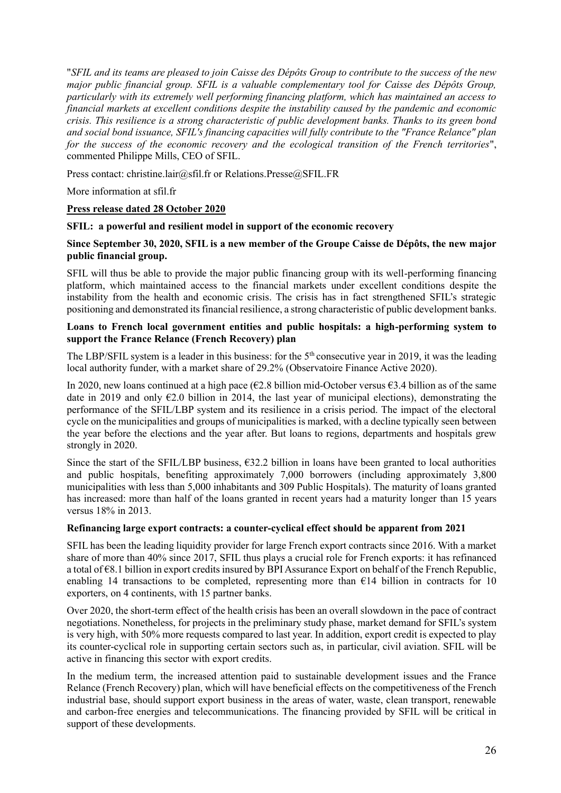"*SFIL and its teams are pleased to join Caisse des Dépôts Group to contribute to the success of the new major public financial group. SFIL is a valuable complementary tool for Caisse des Dépôts Group, particularly with its extremely well performing financing platform, which has maintained an access to financial markets at excellent conditions despite the instability caused by the pandemic and economic crisis. This resilience is a strong characteristic of public development banks. Thanks to its green bond and social bond issuance, SFIL's financing capacities will fully contribute to the "France Relance" plan for the success of the economic recovery and the ecological transition of the French territories*", commented Philippe Mills, CEO of SFIL.

Press contact: christine.lair@sfil.fr or Relations.Presse@SFIL.FR

More information at sfil.fr

# **Press release dated 28 October 2020**

#### **SFIL: a powerful and resilient model in support of the economic recovery**

#### **Since September 30, 2020, SFIL is a new member of the Groupe Caisse de Dépôts, the new major public financial group.**

SFIL will thus be able to provide the major public financing group with its well-performing financing platform, which maintained access to the financial markets under excellent conditions despite the instability from the health and economic crisis. The crisis has in fact strengthened SFIL's strategic positioning and demonstrated its financial resilience, a strong characteristic of public development banks.

# **Loans to French local government entities and public hospitals: a high-performing system to support the France Relance (French Recovery) plan**

The LBP/SFIL system is a leader in this business: for the  $5<sup>th</sup>$  consecutive year in 2019, it was the leading local authority funder, with a market share of 29.2% (Observatoire Finance Active 2020).

In 2020, new loans continued at a high pace ( $\epsilon$ 2.8 billion mid-October versus  $\epsilon$ 3.4 billion as of the same date in 2019 and only  $\epsilon$ 2.0 billion in 2014, the last year of municipal elections), demonstrating the performance of the SFIL/LBP system and its resilience in a crisis period. The impact of the electoral cycle on the municipalities and groups of municipalities is marked, with a decline typically seen between the year before the elections and the year after. But loans to regions, departments and hospitals grew strongly in 2020.

Since the start of the SFIL/LBP business,  $632.2$  billion in loans have been granted to local authorities and public hospitals, benefiting approximately 7,000 borrowers (including approximately 3,800 municipalities with less than 5,000 inhabitants and 309 Public Hospitals). The maturity of loans granted has increased: more than half of the loans granted in recent years had a maturity longer than 15 years versus 18% in 2013.

#### **Refinancing large export contracts: a counter-cyclical effect should be apparent from 2021**

SFIL has been the leading liquidity provider for large French export contracts since 2016. With a market share of more than 40% since 2017, SFIL thus plays a crucial role for French exports: it has refinanced a total of €8.1 billion in export credits insured by BPI Assurance Export on behalf of the French Republic, enabling 14 transactions to be completed, representing more than  $E14$  billion in contracts for 10 exporters, on 4 continents, with 15 partner banks.

Over 2020, the short-term effect of the health crisis has been an overall slowdown in the pace of contract negotiations. Nonetheless, for projects in the preliminary study phase, market demand for SFIL's system is very high, with 50% more requests compared to last year. In addition, export credit is expected to play its counter-cyclical role in supporting certain sectors such as, in particular, civil aviation. SFIL will be active in financing this sector with export credits.

In the medium term, the increased attention paid to sustainable development issues and the France Relance (French Recovery) plan, which will have beneficial effects on the competitiveness of the French industrial base, should support export business in the areas of water, waste, clean transport, renewable and carbon-free energies and telecommunications. The financing provided by SFIL will be critical in support of these developments.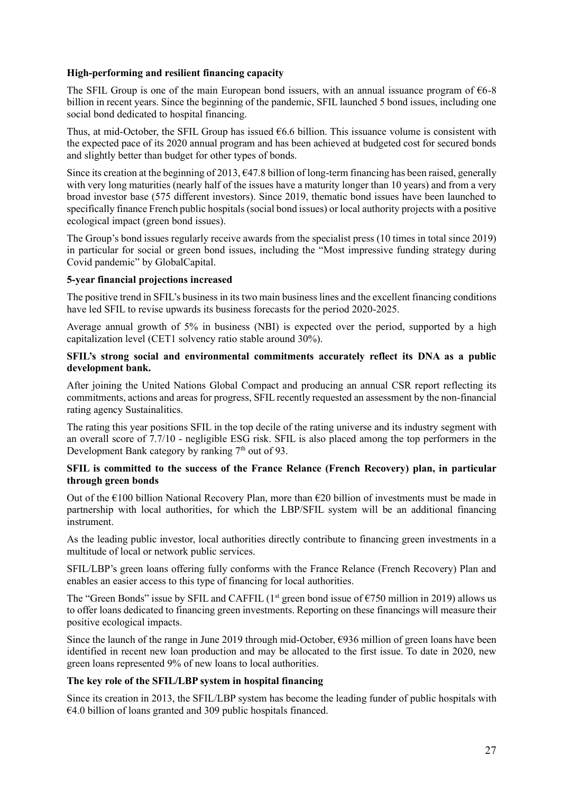# **High-performing and resilient financing capacity**

The SFIL Group is one of the main European bond issuers, with an annual issuance program of  $66-8$ billion in recent years. Since the beginning of the pandemic, SFIL launched 5 bond issues, including one social bond dedicated to hospital financing.

Thus, at mid-October, the SFIL Group has issued  $66.6$  billion. This issuance volume is consistent with the expected pace of its 2020 annual program and has been achieved at budgeted cost for secured bonds and slightly better than budget for other types of bonds.

Since its creation at the beginning of 2013,  $\epsilon$ 47.8 billion of long-term financing has been raised, generally with very long maturities (nearly half of the issues have a maturity longer than 10 years) and from a very broad investor base (575 different investors). Since 2019, thematic bond issues have been launched to specifically finance French public hospitals (social bond issues) or local authority projects with a positive ecological impact (green bond issues).

The Group's bond issues regularly receive awards from the specialist press (10 times in total since 2019) in particular for social or green bond issues, including the "Most impressive funding strategy during Covid pandemic" by GlobalCapital.

# **5-year financial projections increased**

The positive trend in SFIL's business in its two main business lines and the excellent financing conditions have led SFIL to revise upwards its business forecasts for the period 2020-2025.

Average annual growth of 5% in business (NBI) is expected over the period, supported by a high capitalization level (CET1 solvency ratio stable around 30%).

#### **SFIL's strong social and environmental commitments accurately reflect its DNA as a public development bank.**

After joining the United Nations Global Compact and producing an annual CSR report reflecting its commitments, actions and areas for progress, SFIL recently requested an assessment by the non-financial rating agency Sustainalitics.

The rating this year positions SFIL in the top decile of the rating universe and its industry segment with an overall score of 7.7/10 - negligible ESG risk. SFIL is also placed among the top performers in the Development Bank category by ranking  $7<sup>th</sup>$  out of 93.

# **SFIL is committed to the success of the France Relance (French Recovery) plan, in particular through green bonds**

Out of the  $\epsilon$ 100 billion National Recovery Plan, more than  $\epsilon$ 20 billion of investments must be made in partnership with local authorities, for which the LBP/SFIL system will be an additional financing instrument.

As the leading public investor, local authorities directly contribute to financing green investments in a multitude of local or network public services.

SFIL/LBP's green loans offering fully conforms with the France Relance (French Recovery) Plan and enables an easier access to this type of financing for local authorities.

The "Green Bonds" issue by SFIL and CAFFIL (1<sup>st</sup> green bond issue of  $\epsilon$ 750 million in 2019) allows us to offer loans dedicated to financing green investments. Reporting on these financings will measure their positive ecological impacts.

Since the launch of the range in June 2019 through mid-October, €936 million of green loans have been identified in recent new loan production and may be allocated to the first issue. To date in 2020, new green loans represented 9% of new loans to local authorities.

#### **The key role of the SFIL/LBP system in hospital financing**

Since its creation in 2013, the SFIL/LBP system has become the leading funder of public hospitals with €4.0 billion of loans granted and 309 public hospitals financed.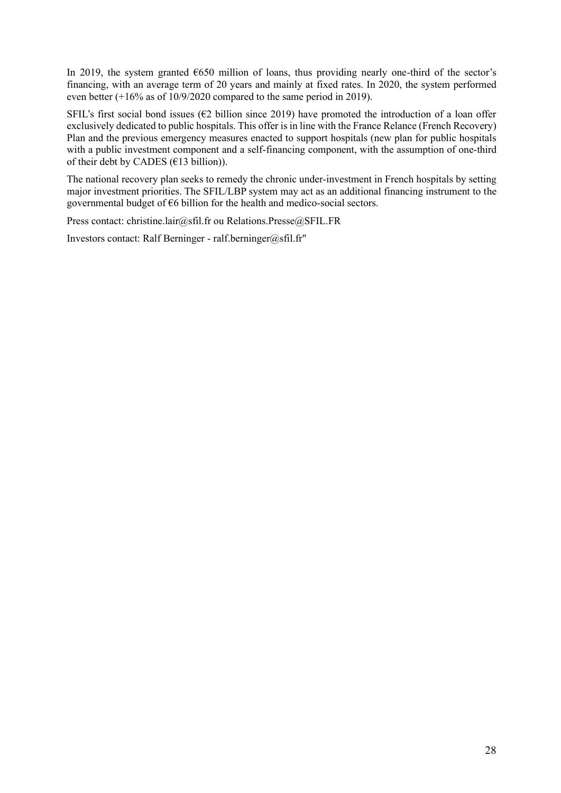In 2019, the system granted  $6650$  million of loans, thus providing nearly one-third of the sector's financing, with an average term of 20 years and mainly at fixed rates. In 2020, the system performed even better (+16% as of 10/9/2020 compared to the same period in 2019).

SFIL's first social bond issues ( $\epsilon$ 2 billion since 2019) have promoted the introduction of a loan offer exclusively dedicated to public hospitals. This offer is in line with the France Relance (French Recovery) Plan and the previous emergency measures enacted to support hospitals (new plan for public hospitals with a public investment component and a self-financing component, with the assumption of one-third of their debt by CADES ( $€13$  billion)).

The national recovery plan seeks to remedy the chronic under-investment in French hospitals by setting major investment priorities. The SFIL/LBP system may act as an additional financing instrument to the governmental budget of €6 billion for the health and medico-social sectors.

Press contact: christine.lair@sfil.fr ou Relations.Presse@SFIL.FR

Investors contact: Ralf Berninger - ralf.berninger@sfil.fr"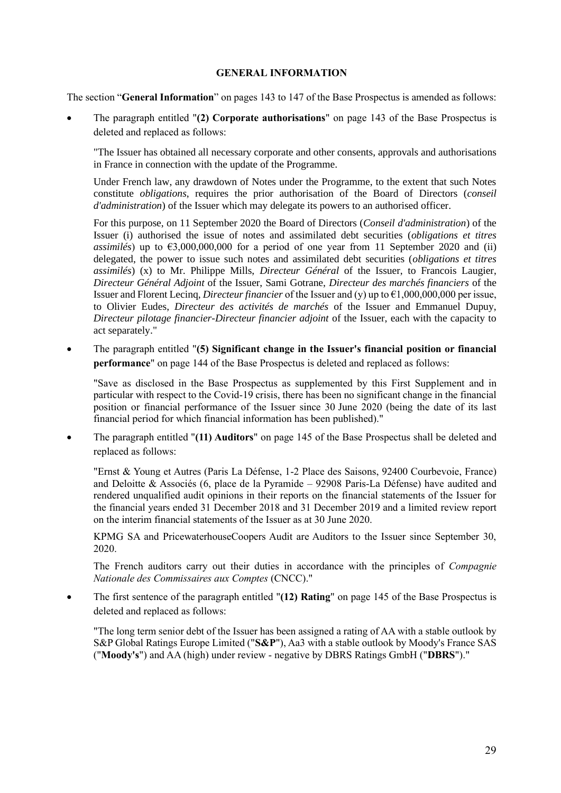#### **GENERAL INFORMATION**

<span id="page-28-0"></span>The section "**General Information**" on pages 143 to 147 of the Base Prospectus is amended as follows:

• The paragraph entitled "**(2) Corporate authorisations**" on page 143 of the Base Prospectus is deleted and replaced as follows:

"The Issuer has obtained all necessary corporate and other consents, approvals and authorisations in France in connection with the update of the Programme.

Under French law, any drawdown of Notes under the Programme, to the extent that such Notes constitute *obligations*, requires the prior authorisation of the Board of Directors (*conseil d'administration*) of the Issuer which may delegate its powers to an authorised officer.

For this purpose, on 11 September 2020 the Board of Directors (*Conseil d'administration*) of the Issuer (i) authorised the issue of notes and assimilated debt securities (*obligations et titres assimilés*) up to  $63,000,000,000$  for a period of one year from 11 September 2020 and (ii) delegated, the power to issue such notes and assimilated debt securities (*obligations et titres assimilés*) (x) to Mr. Philippe Mills, *Directeur Général* of the Issuer, to Francois Laugier, *Directeur Général Adjoint* of the Issuer, Sami Gotrane, *Directeur des marchés financiers* of the Issuer and Florent Lecinq, *Directeur financier* of the Issuer and (y) up to €1,000,000,000 per issue, to Olivier Eudes, *Directeur des activités de marchés* of the Issuer and Emmanuel Dupuy, *Directeur pilotage financier-Directeur financier adjoint* of the Issuer, each with the capacity to act separately."

• The paragraph entitled "**(5) Significant change in the Issuer's financial position or financial performance**" on page 144 of the Base Prospectus is deleted and replaced as follows:

"Save as disclosed in the Base Prospectus as supplemented by this First Supplement and in particular with respect to the Covid-19 crisis, there has been no significant change in the financial position or financial performance of the Issuer since 30 June 2020 (being the date of its last financial period for which financial information has been published)."

• The paragraph entitled "**(11) Auditors**" on page 145 of the Base Prospectus shall be deleted and replaced as follows:

"Ernst & Young et Autres (Paris La Défense, 1-2 Place des Saisons, 92400 Courbevoie, France) and Deloitte & Associés (6, place de la Pyramide – 92908 Paris-La Défense) have audited and rendered unqualified audit opinions in their reports on the financial statements of the Issuer for the financial years ended 31 December 2018 and 31 December 2019 and a limited review report on the interim financial statements of the Issuer as at 30 June 2020.

KPMG SA and PricewaterhouseCoopers Audit are Auditors to the Issuer since September 30, 2020.

The French auditors carry out their duties in accordance with the principles of *Compagnie Nationale des Commissaires aux Comptes* (CNCC)."

• The first sentence of the paragraph entitled "**(12) Rating**" on page 145 of the Base Prospectus is deleted and replaced as follows:

"The long term senior debt of the Issuer has been assigned a rating of AA with a stable outlook by S&P Global Ratings Europe Limited ("**S&P**"), Aa3 with a stable outlook by Moody's France SAS ("**Moody's**") and AA (high) under review - negative by DBRS Ratings GmbH ("**DBRS**")."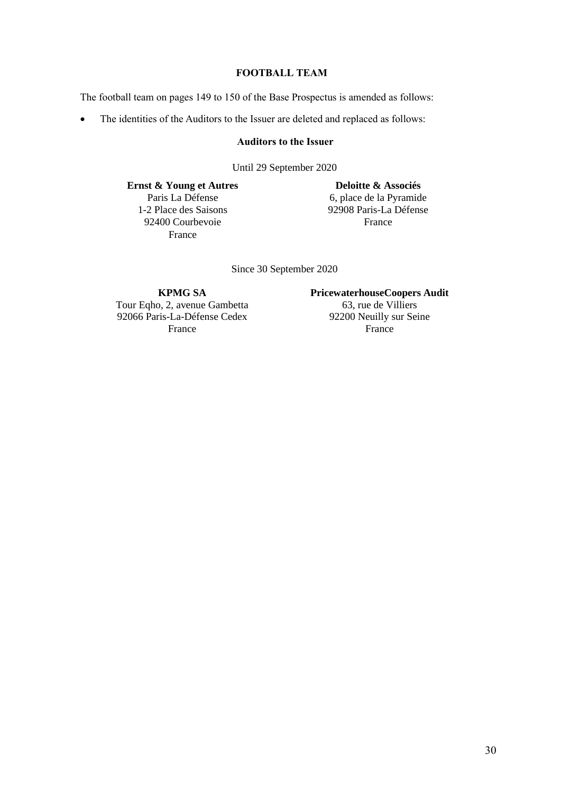# **FOOTBALL TEAM**

<span id="page-29-0"></span>The football team on pages 149 to 150 of the Base Prospectus is amended as follows:

• The identities of the Auditors to the Issuer are deleted and replaced as follows:

# **Auditors to the Issuer**

Until 29 September 2020

**Ernst & Young et Autres** Paris La Défense 1-2 Place des Saisons 92400 Courbevoie France

**Deloitte & Associés** 6, place de la Pyramide 92908 Paris-La Défense France

Since 30 September 2020

Tour Eqho, 2, avenue Gambetta 63, rue de Villiers<br>
92066 Paris-La-Défense Cedex 92200 Neuilly sur Seine 92066  $\overline{P}$ aris-La-Défense Cedex 92200 Neuilly s<br>France France France France France **France** 

**KPMG SA PricewaterhouseCoopers Audit** o, 2, avenue Gambetta 63, rue de Villiers